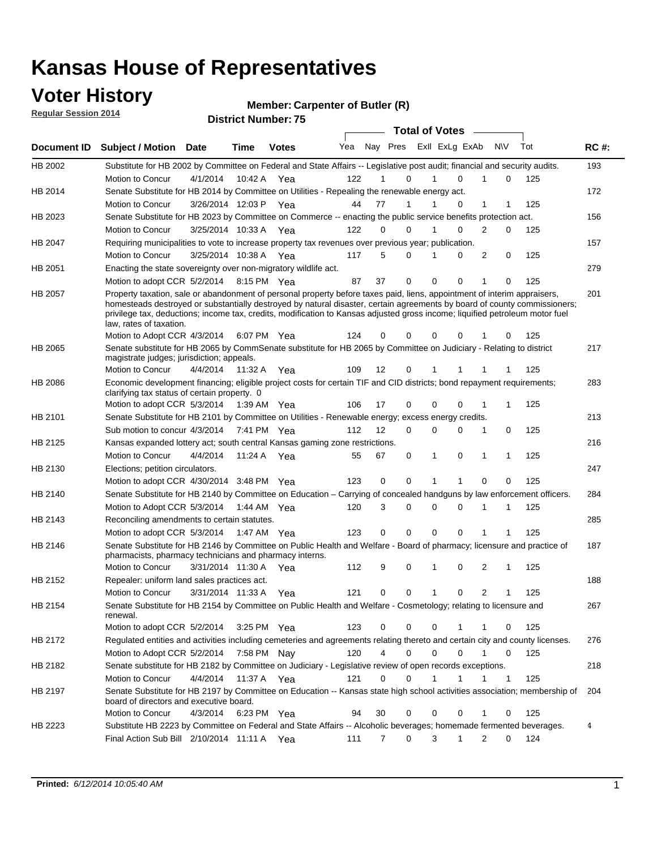### **Voter History**

**Regular Session 2014**

#### **Member: Carpenter of Butler (R)**

|                | DISTRICT MAILINGLE 13<br><b>Total of Votes</b>                                                                                                                                                                                                                                                                                                                                                                   |                       |              |              |     |                   |                  |  |             |                |                  |   |     |             |
|----------------|------------------------------------------------------------------------------------------------------------------------------------------------------------------------------------------------------------------------------------------------------------------------------------------------------------------------------------------------------------------------------------------------------------------|-----------------------|--------------|--------------|-----|-------------------|------------------|--|-------------|----------------|------------------|---|-----|-------------|
|                | Document ID Subject / Motion                                                                                                                                                                                                                                                                                                                                                                                     | <b>Date</b>           | Time         | <b>Votes</b> | Yea |                   | Nay Pres         |  |             | Exll ExLg ExAb | <b>NV</b>        |   | Tot | <b>RC#:</b> |
| HB 2002        | Substitute for HB 2002 by Committee on Federal and State Affairs -- Legislative post audit; financial and security audits.                                                                                                                                                                                                                                                                                       |                       |              |              |     |                   |                  |  |             |                |                  |   |     | 193         |
|                | Motion to Concur                                                                                                                                                                                                                                                                                                                                                                                                 | 4/1/2014              |              | 10:42 A Yea  | 122 |                   | 0                |  |             | $\Omega$       | 0                |   | 125 |             |
| HB 2014        | Senate Substitute for HB 2014 by Committee on Utilities - Repealing the renewable energy act.                                                                                                                                                                                                                                                                                                                    |                       |              |              |     |                   |                  |  |             |                |                  |   |     | 172         |
|                | Motion to Concur                                                                                                                                                                                                                                                                                                                                                                                                 | 3/26/2014 12:03 P Yea |              |              | 44  | 77                | 1                |  |             | 0              | 1<br>1           |   | 125 |             |
| HB 2023        | Senate Substitute for HB 2023 by Committee on Commerce -- enacting the public service benefits protection act.                                                                                                                                                                                                                                                                                                   |                       |              |              |     |                   |                  |  |             |                |                  |   |     | 156         |
|                | Motion to Concur                                                                                                                                                                                                                                                                                                                                                                                                 | 3/25/2014 10:33 A Yea |              |              | 122 | $\Omega$          | 0                |  |             | $\Omega$       | 2                | 0 | 125 |             |
| HB 2047        | Requiring municipalities to vote to increase property tax revenues over previous year; publication.                                                                                                                                                                                                                                                                                                              |                       |              |              |     |                   |                  |  |             |                |                  |   |     | 157         |
|                | Motion to Concur                                                                                                                                                                                                                                                                                                                                                                                                 | 3/25/2014 10:38 A     |              | Yea          | 117 | 5                 | 0                |  |             | 0              | 2                | 0 | 125 |             |
| HB 2051        | Enacting the state sovereignty over non-migratory wildlife act.                                                                                                                                                                                                                                                                                                                                                  |                       |              |              |     |                   |                  |  |             |                |                  |   |     | 279         |
|                | Motion to adopt CCR 5/2/2014                                                                                                                                                                                                                                                                                                                                                                                     |                       |              | 8:15 PM Yea  | 87  | 37                | 0                |  | $\Omega$    | 0              | 1<br>0           |   | 125 |             |
| HB 2057        | Property taxation, sale or abandonment of personal property before taxes paid, liens, appointment of interim appraisers,<br>homesteads destroyed or substantially destroyed by natural disaster, certain agreements by board of county commissioners;<br>privilege tax, deductions; income tax, credits, modification to Kansas adjusted gross income; liquified petroleum motor fuel<br>law, rates of taxation. |                       |              | 6:07 PM Yea  | 124 | 0                 | 0                |  | 0           | 0              | 0                |   | 125 | 201         |
|                | Motion to Adopt CCR 4/3/2014                                                                                                                                                                                                                                                                                                                                                                                     |                       |              |              |     |                   |                  |  |             |                |                  |   |     |             |
| <b>HB 2065</b> | Senate substitute for HB 2065 by CommSenate substitute for HB 2065 by Committee on Judiciary - Relating to district<br>magistrate judges; jurisdiction; appeals.                                                                                                                                                                                                                                                 |                       |              |              |     |                   |                  |  |             |                |                  |   |     | 217         |
|                | Motion to Concur                                                                                                                                                                                                                                                                                                                                                                                                 | 4/4/2014 11:32 A Yea  |              |              | 109 | $12 \overline{ }$ | $\mathbf 0$      |  | 1           | 1              | -1<br>-1         |   | 125 |             |
| HB 2086        | Economic development financing; eligible project costs for certain TIF and CID districts; bond repayment requirements;<br>clarifying tax status of certain property. 0                                                                                                                                                                                                                                           |                       |              |              |     |                   |                  |  |             |                |                  |   |     | 283         |
|                | Motion to adopt CCR 5/3/2014                                                                                                                                                                                                                                                                                                                                                                                     |                       | 1:39 AM  Yea |              | 106 | 17                | 0                |  | 0           | 0              | 1<br>1           |   | 125 |             |
| HB 2101        | Senate Substitute for HB 2101 by Committee on Utilities - Renewable energy; excess energy credits.                                                                                                                                                                                                                                                                                                               |                       |              |              |     |                   |                  |  |             |                |                  |   |     | 213         |
|                | Sub motion to concur 4/3/2014                                                                                                                                                                                                                                                                                                                                                                                    |                       |              | 7:41 PM Yea  | 112 | $12 \overline{ }$ | 0                |  | 0           | 0              | 1                | 0 | 125 |             |
| HB 2125        | Kansas expanded lottery act; south central Kansas gaming zone restrictions.                                                                                                                                                                                                                                                                                                                                      |                       |              |              |     |                   |                  |  |             |                |                  |   |     | 216         |
|                | Motion to Concur                                                                                                                                                                                                                                                                                                                                                                                                 | 4/4/2014              | 11:24 A      | Yea          | 55  | 67                | 0                |  | 1           | 0              | 1<br>$\mathbf 1$ |   | 125 |             |
| HB 2130        | Elections; petition circulators.                                                                                                                                                                                                                                                                                                                                                                                 |                       |              |              |     |                   |                  |  |             |                |                  |   |     | 247         |
|                | Motion to adopt CCR 4/30/2014 3:48 PM Yea                                                                                                                                                                                                                                                                                                                                                                        |                       |              |              | 123 | 0                 | 0                |  | 1           | 1              | $\mathbf 0$<br>0 |   | 125 |             |
| HB 2140        | Senate Substitute for HB 2140 by Committee on Education – Carrying of concealed handguns by law enforcement officers.                                                                                                                                                                                                                                                                                            |                       |              |              |     |                   |                  |  |             |                |                  |   |     | 284         |
|                | Motion to Adopt CCR 5/3/2014                                                                                                                                                                                                                                                                                                                                                                                     |                       |              | 1:44 AM Yea  | 120 |                   | 0<br>3           |  | 0           | 0              | 1<br>1           |   | 125 |             |
| HB 2143        | Reconciling amendments to certain statutes.                                                                                                                                                                                                                                                                                                                                                                      |                       |              |              |     |                   |                  |  |             |                |                  |   |     | 285         |
|                | Motion to adopt CCR 5/3/2014                                                                                                                                                                                                                                                                                                                                                                                     |                       |              | 1:47 AM Yea  | 123 | 0                 | 0                |  | 0           | 0              | 1<br>1           |   | 125 |             |
| HB 2146        | Senate Substitute for HB 2146 by Committee on Public Health and Welfare - Board of pharmacy; licensure and practice of<br>pharmacists, pharmacy technicians and pharmacy interns.                                                                                                                                                                                                                                |                       |              |              |     |                   |                  |  |             |                |                  |   |     | 187         |
|                | Motion to Concur                                                                                                                                                                                                                                                                                                                                                                                                 | 3/31/2014 11:30 A     |              | Yea          | 112 | 9                 | 0                |  | 1           | $\mathbf 0$    | 2<br>1           |   | 125 |             |
| <b>HB 2152</b> | Repealer: uniform land sales practices act.                                                                                                                                                                                                                                                                                                                                                                      |                       |              |              |     |                   |                  |  |             |                |                  |   |     | 188         |
|                | <b>Motion to Concur</b>                                                                                                                                                                                                                                                                                                                                                                                          | 3/31/2014 11:33 A     |              | Yea          | 121 | 0                 | 0                |  | 1           | 0              | 2<br>1           |   | 125 |             |
| HB 2154        | Senate Substitute for HB 2154 by Committee on Public Health and Welfare - Cosmetology; relating to licensure and<br>renewal.                                                                                                                                                                                                                                                                                     |                       |              |              |     |                   |                  |  |             |                |                  |   |     | 267         |
|                | Motion to adopt CCR 5/2/2014 3:25 PM Yea                                                                                                                                                                                                                                                                                                                                                                         |                       |              |              | 123 |                   | $\Omega$<br>0    |  | 0           |                |                  | 0 | 125 |             |
| HB 2172        | Regulated entities and activities including cemeteries and agreements relating thereto and certain city and county licenses.                                                                                                                                                                                                                                                                                     |                       |              |              |     |                   |                  |  |             |                |                  |   |     | 276         |
|                | Motion to Adopt CCR 5/2/2014                                                                                                                                                                                                                                                                                                                                                                                     |                       | 7:58 PM Nay  |              | 120 |                   | 4<br>$\mathbf 0$ |  | $\mathbf 0$ | $\mathbf 0$    | 1                | 0 | 125 |             |
| HB 2182        | Senate substitute for HB 2182 by Committee on Judiciary - Legislative review of open records exceptions.                                                                                                                                                                                                                                                                                                         |                       |              |              |     |                   |                  |  |             |                |                  |   |     | 218         |
|                | Motion to Concur                                                                                                                                                                                                                                                                                                                                                                                                 | 4/4/2014 11:37 A Yea  |              |              | 121 | 0                 | $\mathbf 0$      |  | 1           | 1              | 1<br>$\mathbf 1$ |   | 125 |             |
| HB 2197        | Senate Substitute for HB 2197 by Committee on Education -- Kansas state high school activities association; membership of<br>board of directors and executive board.                                                                                                                                                                                                                                             |                       |              |              |     |                   |                  |  |             |                |                  |   |     | 204         |
|                | Motion to Concur                                                                                                                                                                                                                                                                                                                                                                                                 | 4/3/2014              |              | 6:23 PM Yea  | 94  | 30                | 0                |  | 0           | 0              | 1<br>0           |   | 125 |             |
| HB 2223        | Substitute HB 2223 by Committee on Federal and State Affairs -- Alcoholic beverages; homemade fermented beverages.                                                                                                                                                                                                                                                                                               |                       |              |              |     |                   |                  |  |             |                |                  |   |     | 4           |
|                | Final Action Sub Bill 2/10/2014 11:11 A Yea                                                                                                                                                                                                                                                                                                                                                                      |                       |              |              | 111 |                   | 0<br>7           |  | 3           | 1              | 2<br>0           |   | 124 |             |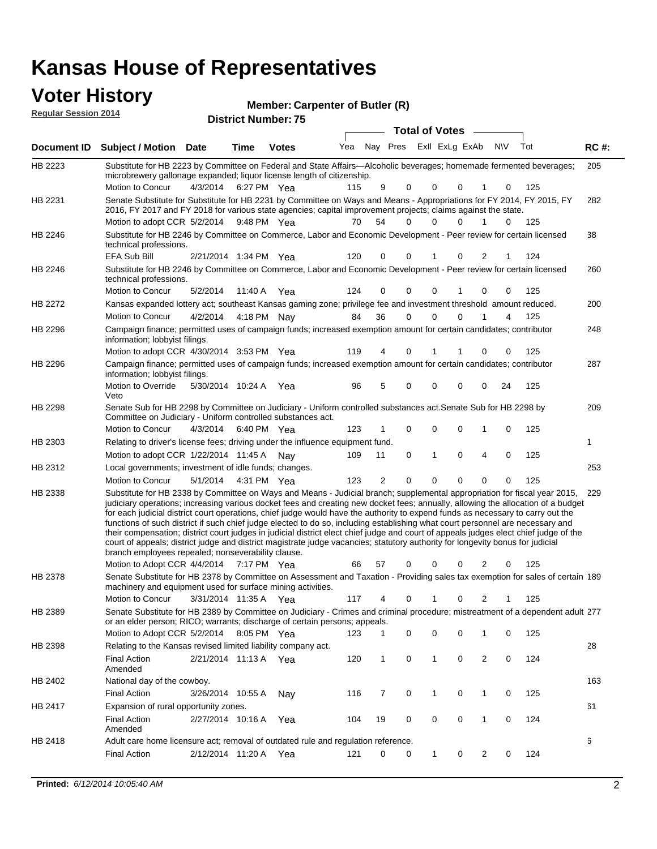| <b>Voter History</b><br><b>Regular Session 2014</b> |                                                                                                                                                                                                                                                                                                                                                                                                                                                                                                                                                                                                                                                                                                                                                                                                                                                                                                     |                       |         | Member: Carpenter of Butler (R) |            |         |                                |          |                          |                                                   |                      |            |             |
|-----------------------------------------------------|-----------------------------------------------------------------------------------------------------------------------------------------------------------------------------------------------------------------------------------------------------------------------------------------------------------------------------------------------------------------------------------------------------------------------------------------------------------------------------------------------------------------------------------------------------------------------------------------------------------------------------------------------------------------------------------------------------------------------------------------------------------------------------------------------------------------------------------------------------------------------------------------------------|-----------------------|---------|---------------------------------|------------|---------|--------------------------------|----------|--------------------------|---------------------------------------------------|----------------------|------------|-------------|
|                                                     |                                                                                                                                                                                                                                                                                                                                                                                                                                                                                                                                                                                                                                                                                                                                                                                                                                                                                                     |                       |         | <b>District Number: 75</b>      |            |         |                                |          | <b>Total of Votes</b>    |                                                   |                      |            |             |
| Document ID                                         | <b>Subject / Motion Date</b>                                                                                                                                                                                                                                                                                                                                                                                                                                                                                                                                                                                                                                                                                                                                                                                                                                                                        |                       | Time    | <b>Votes</b>                    | Yea        |         | Nay Pres                       |          | Exll ExLg ExAb           |                                                   | <b>NV</b>            | Tot        | <b>RC#:</b> |
| HB 2223                                             | Substitute for HB 2223 by Committee on Federal and State Affairs—Alcoholic beverages; homemade fermented beverages;<br>microbrewery gallonage expanded; liquor license length of citizenship.                                                                                                                                                                                                                                                                                                                                                                                                                                                                                                                                                                                                                                                                                                       |                       |         |                                 |            |         |                                |          |                          |                                                   |                      |            | 205         |
| HB 2231                                             | Motion to Concur<br>Senate Substitute for Substitute for HB 2231 by Committee on Ways and Means - Appropriations for FY 2014, FY 2015, FY<br>2016, FY 2017 and FY 2018 for various state agencies; capital improvement projects; claims against the state.<br>Motion to adopt CCR 5/2/2014                                                                                                                                                                                                                                                                                                                                                                                                                                                                                                                                                                                                          | 4/3/2014              |         | 6:27 PM Yea<br>9:48 PM Yea      | 115<br>70  | 54      | 9<br>$\Omega$                  | $\Omega$ | $\mathbf{0}$<br>$\Omega$ | $\mathbf{0}$<br>1<br>$\Omega$<br>1                | $\Omega$<br>$\Omega$ | 125<br>125 | 282         |
| HB 2246                                             | Substitute for HB 2246 by Committee on Commerce, Labor and Economic Development - Peer review for certain licensed<br>technical professions.                                                                                                                                                                                                                                                                                                                                                                                                                                                                                                                                                                                                                                                                                                                                                        |                       |         |                                 |            |         |                                |          |                          |                                                   |                      |            | 38          |
| HB 2246                                             | <b>EFA Sub Bill</b><br>Substitute for HB 2246 by Committee on Commerce, Labor and Economic Development - Peer review for certain licensed<br>technical professions.                                                                                                                                                                                                                                                                                                                                                                                                                                                                                                                                                                                                                                                                                                                                 | 2/21/2014 1:34 PM Yea |         |                                 | 120        |         | $\Omega$<br>$\Omega$           |          | 1                        | $\Omega$<br>$\overline{2}$                        |                      | 124        | 260         |
| <b>HB 2272</b>                                      | Motion to Concur<br>Kansas expanded lottery act; southeast Kansas gaming zone; privilege fee and investment threshold amount reduced.<br>Motion to Concur                                                                                                                                                                                                                                                                                                                                                                                                                                                                                                                                                                                                                                                                                                                                           | 5/2/2014<br>4/2/2014  | 11:40 A | Yea<br>4:18 PM Nav              | 124<br>84  | 36      | 0<br>$\Omega$<br>$\Omega$      |          | 0<br>1<br>0              | $\mathbf 0$<br>$\mathbf{0}$<br>1                  | 0<br>4               | 125<br>125 | 200         |
| HB 2296                                             | Campaign finance; permitted uses of campaign funds; increased exemption amount for certain candidates; contributor<br>information; lobbyist filings.                                                                                                                                                                                                                                                                                                                                                                                                                                                                                                                                                                                                                                                                                                                                                |                       |         |                                 |            |         |                                |          |                          |                                                   |                      |            | 248         |
| HB 2296                                             | Motion to adopt CCR 4/30/2014 3:53 PM Yea<br>Campaign finance; permitted uses of campaign funds; increased exemption amount for certain candidates; contributor<br>information; lobbyist filings.<br>Motion to Override                                                                                                                                                                                                                                                                                                                                                                                                                                                                                                                                                                                                                                                                             | 5/30/2014 10:24 A     |         | Yea                             | 119<br>96  |         | $\Omega$<br>4<br>5<br>$\Omega$ |          | 1<br>0                   | $\Omega$<br>$\Omega$<br>$\Omega$                  | 0<br>24              | 125<br>125 | 287         |
| HB 2298                                             | Veto<br>Senate Sub for HB 2298 by Committee on Judiciary - Uniform controlled substances act. Senate Sub for HB 2298 by<br>Committee on Judiciary - Uniform controlled substances act.                                                                                                                                                                                                                                                                                                                                                                                                                                                                                                                                                                                                                                                                                                              |                       |         |                                 |            |         |                                |          |                          |                                                   |                      |            | 209         |
| HB 2303                                             | <b>Motion to Concur</b><br>Relating to driver's license fees; driving under the influence equipment fund.<br>Motion to adopt CCR 1/22/2014 11:45 A                                                                                                                                                                                                                                                                                                                                                                                                                                                                                                                                                                                                                                                                                                                                                  | 4/3/2014              |         | 6:40 PM Yea<br>Nav              | 123<br>109 | 1<br>11 | $\Omega$<br>$\mathbf 0$        |          | 0<br>$\mathbf{1}$        | $\mathbf 0$<br>1<br>$\mathbf 0$<br>$\overline{4}$ | 0<br>$\mathbf 0$     | 125<br>125 | 1           |
| HB 2312                                             | Local governments; investment of idle funds; changes.<br>Motion to Concur                                                                                                                                                                                                                                                                                                                                                                                                                                                                                                                                                                                                                                                                                                                                                                                                                           | 5/1/2014              |         | 4:31 PM Yea                     | 123        |         | $\overline{2}$<br>$\Omega$     |          | $\Omega$                 | $\Omega$<br>$\mathbf 0$                           | $\mathbf 0$          | 125        | 253         |
| HB 2338                                             | Substitute for HB 2338 by Committee on Ways and Means - Judicial branch; supplemental appropriation for fiscal year 2015,<br>judiciary operations; increasing various docket fees and creating new docket fees; annually, allowing the allocation of a budget<br>for each judicial district court operations, chief judge would have the authority to expend funds as necessary to carry out the<br>functions of such district if such chief judge elected to do so, including establishing what court personnel are necessary and<br>their compensation; district court judges in judicial district elect chief judge and court of appeals judges elect chief judge of the<br>court of appeals; district judge and district magistrate judge vacancies; statutory authority for longevity bonus for judicial<br>branch employees repealed; nonseverability clause.<br>Motion to Adopt CCR 4/4/2014 |                       |         | 7:17 PM Yea                     | 66         | 57      |                                |          | 0                        | 0<br>2                                            | 0                    | 125        | 229         |
| HB 2378                                             | Senate Substitute for HB 2378 by Committee on Assessment and Taxation - Providing sales tax exemption for sales of certain 189<br>machinery and equipment used for surface mining activities.                                                                                                                                                                                                                                                                                                                                                                                                                                                                                                                                                                                                                                                                                                       |                       |         |                                 |            |         |                                |          |                          |                                                   |                      |            |             |

3/31/2014 Motion to Concur Yea 125 11:35 A 117 4 0 0 21 1 Senate Substitute for HB 2389 by Committee on Judiciary - Crimes and criminal procedure; mistreatment of a dependent adult 277 Motion to Adopt CCR 5/2/2014 8:05 PM Yea 123 1 0 0 0 1 0 125 HB 2389 or an elder person; RICO; warrants; discharge of certain persons; appeals. 28 2/21/2014 Final Action Yea 124 11:13 A 120 1 0 0 20 1 HB 2398 Relating to the Kansas revised limited liability company act.

|         | Amended                                                                           |           | .       |     | $-$ |    |  |          |  |     |     |
|---------|-----------------------------------------------------------------------------------|-----------|---------|-----|-----|----|--|----------|--|-----|-----|
| HB 2402 | National day of the cowboy.                                                       |           |         |     |     |    |  |          |  |     | 163 |
|         | <b>Final Action</b>                                                               | 3/26/2014 | 10:55 A | Nav | 116 |    |  | $\Omega$ |  | 125 |     |
| HB 2417 | Expansion of rural opportunity zones.                                             |           |         |     |     |    |  |          |  |     | 61  |
|         | <b>Final Action</b><br>Amended                                                    | 2/27/2014 | 10:16 A | Yea | 104 | 19 |  | $\Omega$ |  | 124 |     |
| HB 2418 | Adult care home licensure act; removal of outdated rule and regulation reference. |           |         |     |     |    |  |          |  |     |     |
|         | <b>Final Action</b>                                                               | 2/12/2014 | 11:20 A | Yea | 121 |    |  |          |  | 124 |     |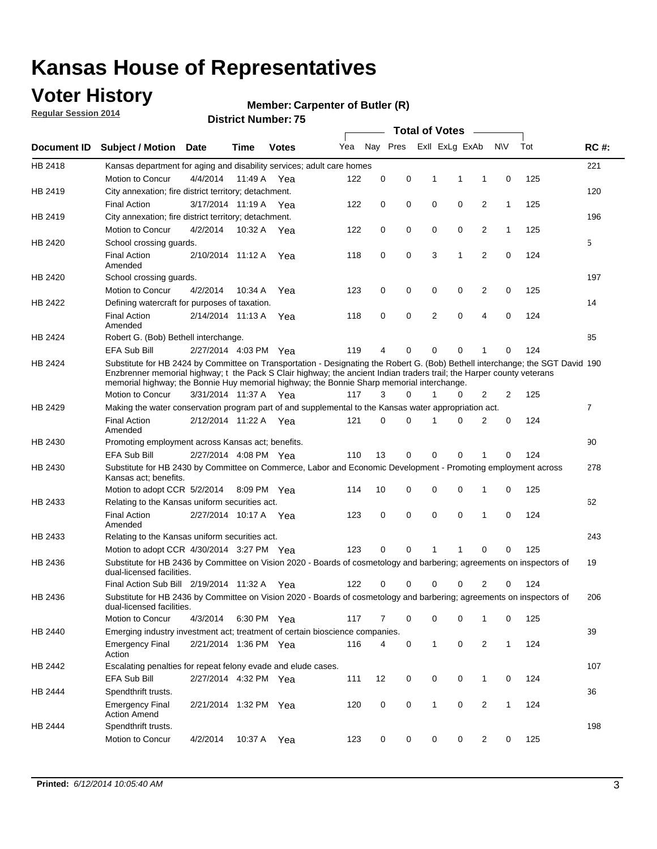### **Voter History**

**Regular Session 2014**

#### **Member: Carpenter of Butler (R)**

|             |                                                                                                                                                                                                                                                                                                                                                      |                       |         |              |     |          |             | <b>Total of Votes</b> |             |                |              |     |             |
|-------------|------------------------------------------------------------------------------------------------------------------------------------------------------------------------------------------------------------------------------------------------------------------------------------------------------------------------------------------------------|-----------------------|---------|--------------|-----|----------|-------------|-----------------------|-------------|----------------|--------------|-----|-------------|
| Document ID | <b>Subject / Motion</b>                                                                                                                                                                                                                                                                                                                              | Date                  | Time    | <b>Votes</b> | Yea | Nay Pres |             | Exll ExLg ExAb        |             |                | N\V          | Tot | <b>RC#:</b> |
| HB 2418     | Kansas department for aging and disability services; adult care homes                                                                                                                                                                                                                                                                                |                       |         |              |     |          |             |                       |             |                |              |     | 221         |
|             | Motion to Concur                                                                                                                                                                                                                                                                                                                                     | 4/4/2014              | 11:49 A | Yea          | 122 | 0        | 0           | 1                     | 1           | 1              | 0            | 125 |             |
| HB 2419     | City annexation; fire district territory; detachment.                                                                                                                                                                                                                                                                                                |                       |         |              |     |          |             |                       |             |                |              |     | 120         |
|             | <b>Final Action</b>                                                                                                                                                                                                                                                                                                                                  | 3/17/2014 11:19 A     |         | Yea          | 122 | 0        | 0           | 0                     | $\mathbf 0$ | 2              | 1            | 125 |             |
| HB 2419     | City annexation; fire district territory; detachment.                                                                                                                                                                                                                                                                                                |                       |         |              |     |          |             |                       |             |                |              |     | 196         |
|             | Motion to Concur                                                                                                                                                                                                                                                                                                                                     | 4/2/2014              | 10:32 A | Yea          | 122 | 0        | 0           | 0                     | $\mathbf 0$ | 2              | 1            | 125 |             |
| HB 2420     | School crossing quards.                                                                                                                                                                                                                                                                                                                              |                       |         |              |     |          |             |                       |             |                |              |     | 5           |
|             | <b>Final Action</b><br>Amended                                                                                                                                                                                                                                                                                                                       | 2/10/2014 11:12 A     |         | Yea          | 118 | 0        | 0           | 3                     | 1           | 2              | 0            | 124 |             |
| HB 2420     | School crossing guards.                                                                                                                                                                                                                                                                                                                              |                       |         |              |     |          |             |                       |             |                |              |     | 197         |
|             | Motion to Concur                                                                                                                                                                                                                                                                                                                                     | 4/2/2014              | 10:34 A | Yea          | 123 | 0        | 0           | 0                     | 0           | 2              | $\mathbf 0$  | 125 |             |
| HB 2422     | Defining watercraft for purposes of taxation.                                                                                                                                                                                                                                                                                                        |                       |         |              |     |          |             |                       |             |                |              |     | 14          |
|             | <b>Final Action</b><br>Amended                                                                                                                                                                                                                                                                                                                       | 2/14/2014 11:13 A     |         | Yea          | 118 | 0        | 0           | 2                     | 0           | 4              | 0            | 124 |             |
| HB 2424     | Robert G. (Bob) Bethell interchange.                                                                                                                                                                                                                                                                                                                 |                       |         |              |     |          |             |                       |             |                |              |     | 85          |
|             | EFA Sub Bill                                                                                                                                                                                                                                                                                                                                         | 2/27/2014 4:03 PM Yea |         |              | 119 | 4        | 0           | 0                     | $\mathbf 0$ | 1              | $\mathbf 0$  | 124 |             |
| HB 2424     | Substitute for HB 2424 by Committee on Transportation - Designating the Robert G. (Bob) Bethell interchange; the SGT David 190<br>Enzbrenner memorial highway; t the Pack S Clair highway; the ancient Indian traders trail; the Harper county veterans<br>memorial highway; the Bonnie Huy memorial highway; the Bonnie Sharp memorial interchange. |                       |         |              |     |          |             |                       |             |                |              |     |             |
|             | Motion to Concur                                                                                                                                                                                                                                                                                                                                     | 3/31/2014 11:37 A Yea |         |              | 117 | 3        | $\Omega$    | 1                     | 0           | 2              | 2            | 125 |             |
| HB 2429     | Making the water conservation program part of and supplemental to the Kansas water appropriation act.                                                                                                                                                                                                                                                |                       |         |              |     |          |             |                       |             |                |              |     | 7           |
|             | <b>Final Action</b><br>Amended                                                                                                                                                                                                                                                                                                                       | 2/12/2014 11:22 A     |         | Yea          | 121 | $\Omega$ | 0           | 1                     | $\mathbf 0$ | 2              | 0            | 124 |             |
| HB 2430     | Promoting employment across Kansas act; benefits.                                                                                                                                                                                                                                                                                                    |                       |         |              |     |          |             |                       |             |                |              |     | 90          |
|             | <b>EFA Sub Bill</b>                                                                                                                                                                                                                                                                                                                                  | 2/27/2014 4:08 PM Yea |         |              | 110 | 13       | 0           | $\Omega$              | $\mathbf 0$ | 1              | $\Omega$     | 124 |             |
| HB 2430     | Substitute for HB 2430 by Committee on Commerce, Labor and Economic Development - Promoting employment across<br>Kansas act; benefits.                                                                                                                                                                                                               |                       |         |              |     |          |             |                       |             |                |              |     | 278         |
|             | Motion to adopt CCR 5/2/2014 8:09 PM Yea                                                                                                                                                                                                                                                                                                             |                       |         |              | 114 | 10       | 0           | 0                     | 0           | 1              | 0            | 125 |             |
| HB 2433     | Relating to the Kansas uniform securities act.                                                                                                                                                                                                                                                                                                       |                       |         |              |     |          |             |                       |             |                |              |     | 62          |
|             | <b>Final Action</b><br>Amended                                                                                                                                                                                                                                                                                                                       | 2/27/2014 10:17 A     |         | - Yea        | 123 | 0        | $\mathbf 0$ | $\mathbf 0$           | $\mathbf 0$ | 1              | $\mathbf 0$  | 124 |             |
| HB 2433     | Relating to the Kansas uniform securities act.                                                                                                                                                                                                                                                                                                       |                       |         |              |     |          |             |                       |             |                |              |     | 243         |
|             | Motion to adopt CCR 4/30/2014 3:27 PM Yea                                                                                                                                                                                                                                                                                                            |                       |         |              | 123 | 0        | 0           |                       |             | 0              | $\Omega$     | 125 |             |
| HB 2436     | Substitute for HB 2436 by Committee on Vision 2020 - Boards of cosmetology and barbering; agreements on inspectors of<br>dual-licensed facilities.                                                                                                                                                                                                   |                       |         |              |     |          |             |                       |             |                |              |     | 19          |
|             | Final Action Sub Bill 2/19/2014 11:32 A                                                                                                                                                                                                                                                                                                              |                       |         | Yea          | 122 | 0        | 0           | 0                     | 0           | 2              | 0            | 124 |             |
| HB 2436     | Substitute for HB 2436 by Committee on Vision 2020 - Boards of cosmetology and barbering; agreements on inspectors of<br>dual-licensed facilities.                                                                                                                                                                                                   |                       |         |              |     |          |             |                       |             |                |              |     | 206         |
|             | Motion to Concur                                                                                                                                                                                                                                                                                                                                     | 4/3/2014              |         | 6:30 PM Yea  | 117 | 7        | 0           | 0                     | 0           | 1              | 0            | 125 |             |
| HB 2440     | Emerging industry investment act; treatment of certain bioscience companies.                                                                                                                                                                                                                                                                         |                       |         |              |     |          |             |                       |             |                |              |     | 39          |
|             | <b>Emergency Final</b><br>Action                                                                                                                                                                                                                                                                                                                     | 2/21/2014 1:36 PM Yea |         |              | 116 | 4        | 0           | 1                     | 0           | $\overline{2}$ | 1            | 124 |             |
| HB 2442     | Escalating penalties for repeat felony evade and elude cases.                                                                                                                                                                                                                                                                                        |                       |         |              |     |          |             |                       |             |                |              |     | 107         |
|             | EFA Sub Bill                                                                                                                                                                                                                                                                                                                                         | 2/27/2014 4:32 PM Yea |         |              | 111 | 12       | 0           | 0                     | $\mathbf 0$ | $\mathbf{1}$   | 0            | 124 |             |
| HB 2444     | Spendthrift trusts.                                                                                                                                                                                                                                                                                                                                  |                       |         |              |     |          |             |                       |             |                |              |     | 36          |
|             | <b>Emergency Final</b><br><b>Action Amend</b>                                                                                                                                                                                                                                                                                                        | 2/21/2014 1:32 PM Yea |         |              | 120 | 0        | 0           | $\mathbf{1}$          | 0           | 2              | $\mathbf{1}$ | 124 |             |
| HB 2444     | Spendthrift trusts.<br>Motion to Concur                                                                                                                                                                                                                                                                                                              | 4/2/2014              | 10:37 A | Yea          | 123 | 0        | 0           | 0                     | 0           | 2              | 0            | 125 | 198         |
|             |                                                                                                                                                                                                                                                                                                                                                      |                       |         |              |     |          |             |                       |             |                |              |     |             |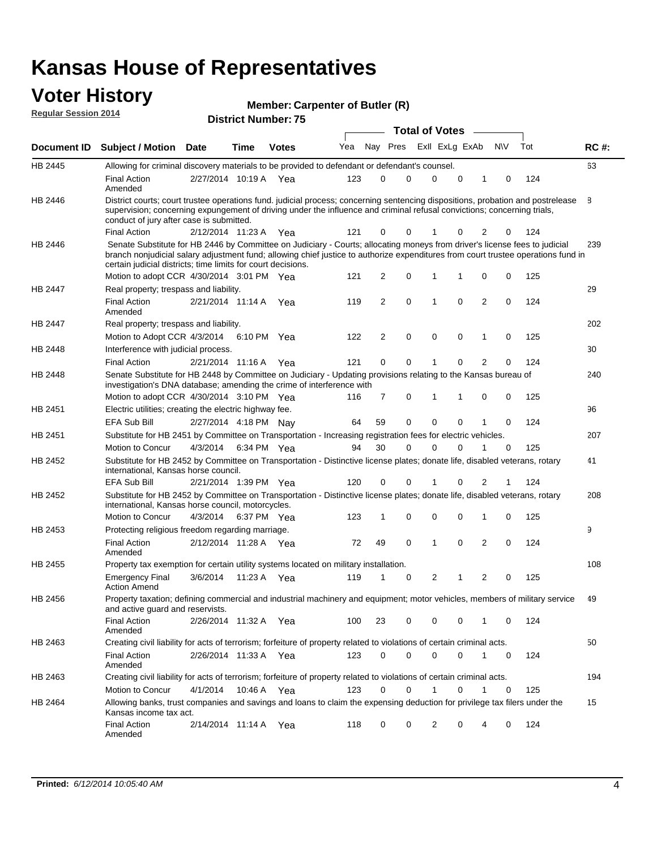#### **Voter History Regular Session 2014**

| Member: Carpenter of Butler (R) |  |
|---------------------------------|--|
|---------------------------------|--|

|         |                                                                                                                                                                                                                                                                                                                                 |                       |      |              |     |          |             | <b>Total of Votes</b> |                |   |                |          |     |             |
|---------|---------------------------------------------------------------------------------------------------------------------------------------------------------------------------------------------------------------------------------------------------------------------------------------------------------------------------------|-----------------------|------|--------------|-----|----------|-------------|-----------------------|----------------|---|----------------|----------|-----|-------------|
|         | Document ID Subject / Motion Date                                                                                                                                                                                                                                                                                               |                       | Time | <b>Votes</b> | Yea | Nay Pres |             |                       | Exll ExLg ExAb |   |                | N\V      | Tot | <b>RC#:</b> |
| HB 2445 | Allowing for criminal discovery materials to be provided to defendant or defendant's counsel.                                                                                                                                                                                                                                   |                       |      |              |     |          |             |                       |                |   |                |          |     | 63          |
|         | <b>Final Action</b><br>Amended                                                                                                                                                                                                                                                                                                  | 2/27/2014 10:19 A     |      | Yea          | 123 | 0        | 0           | $\Omega$              |                | 0 | 1              | 0        | 124 |             |
| HB 2446 | District courts; court trustee operations fund. judicial process; concerning sentencing dispositions, probation and postrelease<br>supervision; concerning expungement of driving under the influence and criminal refusal convictions; concerning trials,<br>conduct of jury after case is submitted.                          |                       |      |              |     |          |             |                       |                |   |                |          |     | 8           |
|         | <b>Final Action</b>                                                                                                                                                                                                                                                                                                             | 2/12/2014 11:23 A     |      | Yea          | 121 | 0        | 0           | 1                     |                | 0 | 2              | 0        | 124 |             |
| HB 2446 | Senate Substitute for HB 2446 by Committee on Judiciary - Courts; allocating moneys from driver's license fees to judicial<br>branch nonjudicial salary adjustment fund; allowing chief justice to authorize expenditures from court trustee operations fund in<br>certain judicial districts; time limits for court decisions. |                       |      |              |     |          |             |                       |                |   |                |          |     | 239         |
|         | Motion to adopt CCR 4/30/2014 3:01 PM Yea                                                                                                                                                                                                                                                                                       |                       |      |              | 121 | 2        | 0           | 1                     |                | 1 | 0              | 0        | 125 |             |
| HB 2447 | Real property; trespass and liability.                                                                                                                                                                                                                                                                                          |                       |      |              |     |          |             |                       |                |   |                |          |     | 29          |
|         | <b>Final Action</b><br>Amended                                                                                                                                                                                                                                                                                                  | 2/21/2014 11:14 A Yea |      |              | 119 | 2        | 0           | 1                     |                | 0 | $\overline{2}$ | 0        | 124 |             |
| HB 2447 | Real property; trespass and liability.                                                                                                                                                                                                                                                                                          |                       |      |              |     |          |             |                       |                |   |                |          |     | 202         |
|         | Motion to Adopt CCR 4/3/2014                                                                                                                                                                                                                                                                                                    |                       |      | 6:10 PM Yea  | 122 | 2        | 0           | $\mathbf 0$           |                | 0 | 1              | 0        | 125 |             |
| HB 2448 | Interference with judicial process.                                                                                                                                                                                                                                                                                             |                       |      |              |     |          |             |                       |                |   |                |          |     | 30          |
|         | <b>Final Action</b>                                                                                                                                                                                                                                                                                                             | 2/21/2014 11:16 A Yea |      |              | 121 | 0        | 0           | 1                     |                | 0 | $\overline{2}$ | 0        | 124 |             |
| HB 2448 | Senate Substitute for HB 2448 by Committee on Judiciary - Updating provisions relating to the Kansas bureau of<br>investigation's DNA database; amending the crime of interference with                                                                                                                                         |                       |      |              |     |          |             |                       |                |   |                |          |     | 240         |
|         | Motion to adopt CCR 4/30/2014 3:10 PM Yea                                                                                                                                                                                                                                                                                       |                       |      |              | 116 | 7        | 0           | 1                     |                | 1 | 0              | 0        | 125 |             |
| HB 2451 | Electric utilities; creating the electric highway fee.                                                                                                                                                                                                                                                                          |                       |      |              |     |          |             |                       |                |   |                |          |     | 96          |
|         | <b>EFA Sub Bill</b>                                                                                                                                                                                                                                                                                                             | 2/27/2014 4:18 PM Nay |      |              | 64  | 59       | 0           | 0                     |                | 0 | 1              | 0        | 124 |             |
| HB 2451 | Substitute for HB 2451 by Committee on Transportation - Increasing registration fees for electric vehicles.                                                                                                                                                                                                                     |                       |      |              |     |          |             |                       |                |   |                |          |     | 207         |
|         | Motion to Concur                                                                                                                                                                                                                                                                                                                | 4/3/2014              |      | 6:34 PM Yea  | 94  | 30       | 0           | $\Omega$              |                | 0 |                | 0        | 125 |             |
| HB 2452 | Substitute for HB 2452 by Committee on Transportation - Distinctive license plates; donate life, disabled veterans, rotary<br>international, Kansas horse council.                                                                                                                                                              |                       |      |              |     |          |             |                       |                |   |                |          |     | 41          |
|         | <b>EFA Sub Bill</b>                                                                                                                                                                                                                                                                                                             | 2/21/2014 1:39 PM Yea |      |              | 120 | 0        | 0           |                       |                | 0 | 2              |          | 124 |             |
| HB 2452 | Substitute for HB 2452 by Committee on Transportation - Distinctive license plates; donate life, disabled veterans, rotary<br>international, Kansas horse council, motorcycles.                                                                                                                                                 |                       |      |              |     |          |             |                       |                |   |                |          |     | 208         |
|         | Motion to Concur                                                                                                                                                                                                                                                                                                                | 4/3/2014              |      | 6:37 PM Yea  | 123 | 1        | 0           | $\mathbf 0$           |                | 0 | 1              | 0        | 125 |             |
| HB 2453 | Protecting religious freedom regarding marriage.                                                                                                                                                                                                                                                                                |                       |      |              |     |          |             |                       |                |   |                |          |     | 9           |
|         | <b>Final Action</b><br>Amended                                                                                                                                                                                                                                                                                                  | 2/12/2014 11:28 A Yea |      |              | 72  | 49       | $\mathbf 0$ | 1                     |                | 0 | $\overline{2}$ | $\Omega$ | 124 |             |
| HB 2455 | Property tax exemption for certain utility systems located on military installation.                                                                                                                                                                                                                                            |                       |      |              |     |          |             |                       |                |   |                |          |     | 108         |
|         | <b>Emergency Final</b><br><b>Action Amend</b>                                                                                                                                                                                                                                                                                   | 3/6/2014              |      | 11:23 A Yea  | 119 | 1        | 0           | 2                     |                | 1 | 2              | 0        | 125 |             |
| HB 2456 | Property taxation; defining commercial and industrial machinery and equipment; motor vehicles, members of military service<br>and active guard and reservists.                                                                                                                                                                  |                       |      |              |     |          |             |                       |                |   |                |          |     | 49          |
|         | <b>Final Action</b><br>Amended                                                                                                                                                                                                                                                                                                  | 2/26/2014 11:32 A Yea |      |              | 100 | 23       | 0           | 0                     |                | 0 | 1              | 0        | 124 |             |
| HB 2463 | Creating civil liability for acts of terrorism; forfeiture of property related to violations of certain criminal acts.                                                                                                                                                                                                          |                       |      |              |     |          |             |                       |                |   |                |          |     | 50          |
|         | <b>Final Action</b><br>Amended                                                                                                                                                                                                                                                                                                  | 2/26/2014 11:33 A Yea |      |              | 123 | 0        | 0           | 0                     |                | 0 | $\mathbf{1}$   | 0        | 124 |             |
| HB 2463 | Creating civil liability for acts of terrorism; forfeiture of property related to violations of certain criminal acts.                                                                                                                                                                                                          |                       |      |              |     |          |             |                       |                |   |                |          |     | 194         |
|         | Motion to Concur                                                                                                                                                                                                                                                                                                                | 4/1/2014              |      | 10:46 A Yea  | 123 | 0        | 0           | $\mathbf{1}$          |                | 0 | 1              | 0        | 125 |             |
| HB 2464 | Allowing banks, trust companies and savings and loans to claim the expensing deduction for privilege tax filers under the<br>Kansas income tax act.                                                                                                                                                                             |                       |      |              |     |          |             |                       |                |   |                |          |     | 15          |
|         | <b>Final Action</b><br>Amended                                                                                                                                                                                                                                                                                                  | 2/14/2014 11:14 A Yea |      |              | 118 | 0        | 0           | 2                     |                | 0 | 4              | 0        | 124 |             |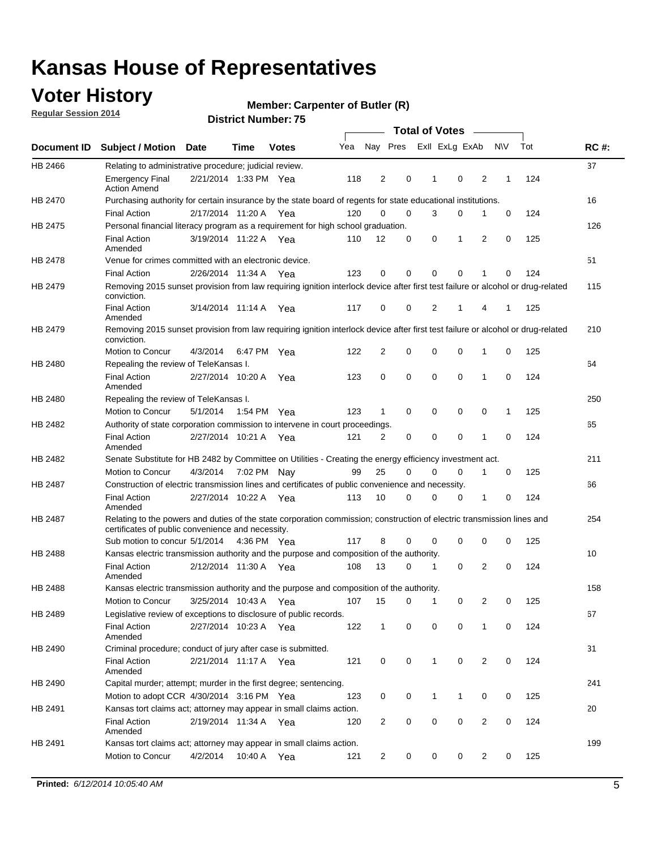### **Voter History**

**Regular Session 2014**

#### **Member: Carpenter of Butler (R)**

|                    |                                                                                                                                                                             |                       |             |              |     |                |          |          | <b>Total of Votes</b> |              |                |             |     |             |
|--------------------|-----------------------------------------------------------------------------------------------------------------------------------------------------------------------------|-----------------------|-------------|--------------|-----|----------------|----------|----------|-----------------------|--------------|----------------|-------------|-----|-------------|
| <b>Document ID</b> | <b>Subject / Motion</b>                                                                                                                                                     | <b>Date</b>           | Time        | <b>Votes</b> | Yea |                | Nay Pres |          | Exll ExLg ExAb        |              |                | <b>NV</b>   | Tot | <b>RC#:</b> |
| HB 2466            | Relating to administrative procedure; judicial review.                                                                                                                      |                       |             |              |     |                |          |          |                       |              |                |             |     | 37          |
|                    | <b>Emergency Final</b><br><b>Action Amend</b>                                                                                                                               | 2/21/2014 1:33 PM Yea |             |              | 118 | $\overline{2}$ |          | 0        | 1                     | 0            | 2              | 1           | 124 |             |
| HB 2470            | Purchasing authority for certain insurance by the state board of regents for state educational institutions.                                                                |                       |             |              |     |                |          |          |                       |              |                |             |     | 16          |
|                    | <b>Final Action</b>                                                                                                                                                         | 2/17/2014 11:20 A Yea |             |              | 120 | $\mathbf 0$    |          | 0        | 3                     | 0            | 1              | 0           | 124 |             |
| HB 2475            | Personal financial literacy program as a requirement for high school graduation.                                                                                            |                       |             |              |     |                |          |          |                       |              |                |             |     | 126         |
|                    | <b>Final Action</b><br>Amended                                                                                                                                              | 3/19/2014 11:22 A Yea |             |              | 110 | 12             |          | 0        | 0                     | 1            | 2              | 0           | 125 |             |
| HB 2478            | Venue for crimes committed with an electronic device.                                                                                                                       |                       |             |              |     |                |          |          |                       |              |                |             |     | 51          |
|                    | <b>Final Action</b>                                                                                                                                                         | 2/26/2014 11:34 A     |             | Yea          | 123 | 0              |          | 0        | $\Omega$              | 0            | 1              | 0           | 124 |             |
| HB 2479            | Removing 2015 sunset provision from law requiring ignition interlock device after first test failure or alcohol or drug-related<br>conviction.                              |                       |             |              |     |                |          |          |                       |              |                |             |     | 115         |
|                    | <b>Final Action</b><br>Amended                                                                                                                                              | 3/14/2014 11:14 A     |             | Yea          | 117 | 0              |          | 0        | 2                     | 1            | 4              | 1           | 125 |             |
| HB 2479            | Removing 2015 sunset provision from law requiring ignition interlock device after first test failure or alcohol or drug-related<br>conviction.                              |                       |             |              |     |                |          |          |                       |              |                |             |     | 210         |
|                    | Motion to Concur                                                                                                                                                            | 4/3/2014              | 6:47 PM Yea |              | 122 | 2              |          | 0        | $\mathbf 0$           | 0            | 1              | 0           | 125 |             |
| HB 2480            | Repealing the review of TeleKansas I.                                                                                                                                       |                       |             |              |     |                |          |          |                       |              |                |             |     | 64          |
|                    | <b>Final Action</b><br>Amended                                                                                                                                              | 2/27/2014 10:20 A Yea |             |              | 123 | 0              |          | 0        | $\mathbf 0$           | 0            | 1              | 0           | 124 |             |
| HB 2480            | Repealing the review of TeleKansas I.                                                                                                                                       |                       |             |              |     |                |          |          |                       |              |                |             |     | 250         |
|                    | Motion to Concur                                                                                                                                                            | 5/1/2014              | 1:54 PM Yea |              | 123 | 1              |          | 0        | 0                     | $\mathbf 0$  | 0              | 1           | 125 |             |
| HB 2482            | Authority of state corporation commission to intervene in court proceedings.                                                                                                |                       |             |              |     |                |          |          |                       |              |                |             |     | 65          |
|                    | <b>Final Action</b><br>Amended                                                                                                                                              | 2/27/2014 10:21 A     |             | Yea          | 121 | 2              |          | 0        | 0                     | 0            | 1              | 0           | 124 |             |
| HB 2482            | Senate Substitute for HB 2482 by Committee on Utilities - Creating the energy efficiency investment act.                                                                    |                       |             |              |     |                |          |          |                       |              |                |             |     | 211         |
|                    | Motion to Concur                                                                                                                                                            | 4/3/2014 7:02 PM Nay  |             |              | 99  | 25             |          | $\Omega$ | $\Omega$              | 0            | 1              | 0           | 125 |             |
| HB 2487            | Construction of electric transmission lines and certificates of public convenience and necessity.                                                                           |                       |             |              |     |                |          |          |                       |              |                |             |     | 66          |
|                    | <b>Final Action</b><br>Amended                                                                                                                                              | 2/27/2014 10:22 A Yea |             |              | 113 | 10             |          | 0        | $\Omega$              | 0            | 1              | 0           | 124 |             |
| HB 2487            | Relating to the powers and duties of the state corporation commission; construction of electric transmission lines and<br>certificates of public convenience and necessity. |                       |             |              |     |                |          |          |                       |              |                |             |     | 254         |
|                    | Sub motion to concur 5/1/2014 4:36 PM Yea                                                                                                                                   |                       |             |              | 117 | 8              |          | 0        | 0                     | $\mathbf 0$  | 0              | 0           | 125 |             |
| HB 2488            | Kansas electric transmission authority and the purpose and composition of the authority.                                                                                    |                       |             |              |     |                |          |          |                       |              |                |             |     | 10          |
|                    | <b>Final Action</b><br>Amended                                                                                                                                              | 2/12/2014 11:30 A Yea |             |              | 108 | 13             |          | 0        | 1                     | 0            | 2              | 0           | 124 |             |
| <b>HB 2488</b>     | Kansas electric transmission authority and the purpose and composition of the authority.                                                                                    |                       |             |              |     |                |          |          |                       |              |                |             |     | 158         |
|                    | Motion to Concur                                                                                                                                                            | 3/25/2014 10:43 A     |             | Yea          | 107 | 15             |          | 0        | $\mathbf 1$           | 0            | 2              | 0           | 125 |             |
| HB 2489            | Legislative review of exceptions to disclosure of public records.                                                                                                           |                       |             |              |     |                |          |          |                       |              |                |             |     | 67          |
|                    | <b>Final Action</b><br>Amended                                                                                                                                              | 2/27/2014 10:23 A Yea |             |              | 122 | $\mathbf{1}$   |          | 0        | $\mathbf 0$           | $\mathbf 0$  | 1              | 0           | 124 |             |
| HB 2490            | Criminal procedure; conduct of jury after case is submitted.                                                                                                                |                       |             |              |     |                |          |          |                       |              |                |             |     | 31          |
|                    | <b>Final Action</b><br>Amended                                                                                                                                              | 2/21/2014 11:17 A Yea |             |              | 121 | 0              |          | 0        | $\mathbf{1}$          | $\mathbf 0$  | $\overline{2}$ | $\mathbf 0$ | 124 |             |
| HB 2490            | Capital murder; attempt; murder in the first degree; sentencing.                                                                                                            |                       |             |              |     |                |          |          |                       |              |                |             |     | 241         |
|                    | Motion to adopt CCR 4/30/2014 3:16 PM Yea                                                                                                                                   |                       |             |              | 123 | 0              |          | 0        | $\mathbf{1}$          | $\mathbf{1}$ | 0              | 0           | 125 |             |
| HB 2491            | Kansas tort claims act; attorney may appear in small claims action.                                                                                                         |                       |             |              |     |                |          |          |                       |              |                |             |     | 20          |
|                    | <b>Final Action</b><br>Amended                                                                                                                                              | 2/19/2014 11:34 A Yea |             |              | 120 | 2              |          | 0        | 0                     | 0            | $\overline{2}$ | 0           | 124 |             |
| HB 2491            | Kansas tort claims act; attorney may appear in small claims action.                                                                                                         |                       |             |              |     |                |          |          |                       |              |                |             |     | 199         |
|                    | Motion to Concur                                                                                                                                                            | 4/2/2014              |             | 10:40 A Yea  | 121 | $\overline{2}$ |          | 0        | 0                     | 0            | $\overline{2}$ | 0           | 125 |             |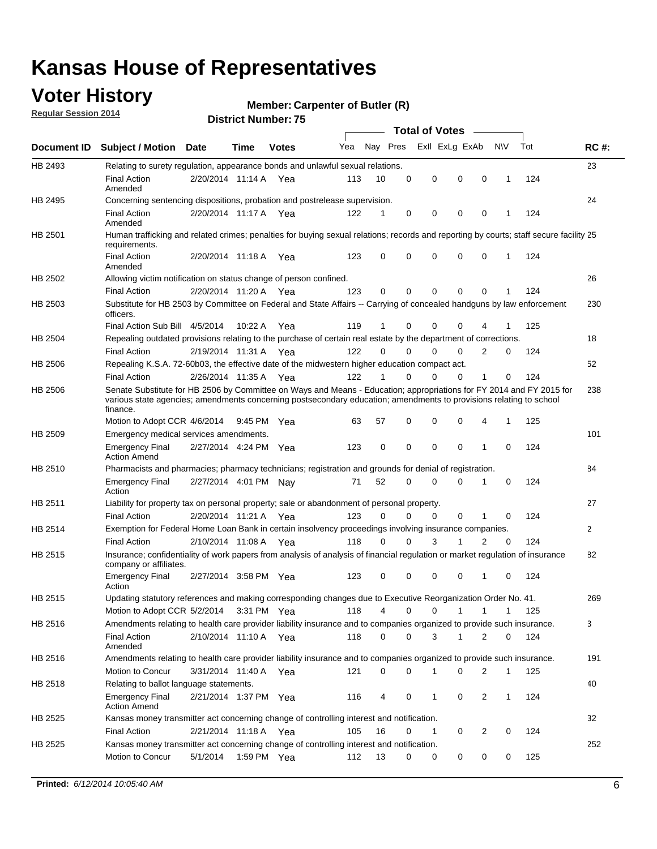### **Voter History**

**Regular Session 2014**

#### **Member: Carpenter of Butler (R)**

|                |                                                                                                                                                                                                                                                        |                       |             | DISTRICT MAILINGLE 13 |     |          |             | Total of Votes –           |             |              |     |              |
|----------------|--------------------------------------------------------------------------------------------------------------------------------------------------------------------------------------------------------------------------------------------------------|-----------------------|-------------|-----------------------|-----|----------|-------------|----------------------------|-------------|--------------|-----|--------------|
|                | Document ID Subject / Motion Date                                                                                                                                                                                                                      |                       | Time        | <b>Votes</b>          | Yea | Nay Pres |             | Exll ExLg ExAb             |             | <b>NV</b>    | Tot | <b>RC#:</b>  |
| HB 2493        | Relating to surety regulation, appearance bonds and unlawful sexual relations.                                                                                                                                                                         |                       |             |                       |     |          |             |                            |             |              |     | 23           |
|                | <b>Final Action</b><br>Amended                                                                                                                                                                                                                         | 2/20/2014 11:14 A Yea |             |                       | 113 | 10       | $\mathbf 0$ | $\mathbf 0$<br>$\mathbf 0$ | $\mathbf 0$ | $\mathbf 1$  | 124 |              |
| HB 2495        | Concerning sentencing dispositions, probation and postrelease supervision.                                                                                                                                                                             |                       |             |                       |     |          |             |                            |             |              |     | 24           |
|                | <b>Final Action</b><br>Amended                                                                                                                                                                                                                         | 2/20/2014 11:17 A     |             | Yea                   | 122 | 1        | 0           | 0<br>0                     | 0           | -1           | 124 |              |
| HB 2501        | Human trafficking and related crimes; penalties for buying sexual relations; records and reporting by courts; staff secure facility 25<br>requirements.                                                                                                |                       |             |                       |     |          |             |                            |             |              |     |              |
|                | <b>Final Action</b><br>Amended                                                                                                                                                                                                                         | 2/20/2014 11:18 A Yea |             |                       | 123 | 0        | 0           | $\Omega$<br>$\Omega$       | 0           | $\mathbf 1$  | 124 |              |
| HB 2502        | Allowing victim notification on status change of person confined.                                                                                                                                                                                      |                       |             |                       |     |          |             |                            |             |              |     | 26           |
|                | <b>Final Action</b>                                                                                                                                                                                                                                    | 2/20/2014 11:20 A Yea |             |                       | 123 | 0        | 0           | $\mathbf 0$<br>0           | 0           | 1            | 124 |              |
| HB 2503        | Substitute for HB 2503 by Committee on Federal and State Affairs -- Carrying of concealed handguns by law enforcement<br>officers.                                                                                                                     |                       |             |                       |     |          |             |                            |             |              |     | 230          |
|                | Final Action Sub Bill 4/5/2014                                                                                                                                                                                                                         |                       | 10:22 A     | Yea                   | 119 | 1        | 0           | $\Omega$<br>0              |             |              | 125 |              |
| HB 2504        | Repealing outdated provisions relating to the purchase of certain real estate by the department of corrections.                                                                                                                                        |                       |             |                       |     |          |             |                            |             |              |     | 18           |
|                | <b>Final Action</b>                                                                                                                                                                                                                                    | 2/19/2014 11:31 A Yea |             |                       | 122 | $\Omega$ | 0           | $\Omega$<br>0              | 2           | 0            | 124 |              |
| <b>HB 2506</b> | Repealing K.S.A. 72-60b03, the effective date of the midwestern higher education compact act.                                                                                                                                                          |                       |             |                       |     |          |             |                            |             |              |     | 52           |
|                | <b>Final Action</b>                                                                                                                                                                                                                                    | 2/26/2014 11:35 A Yea |             |                       | 122 | 1        | $\mathbf 0$ | 0<br>0                     | 1           | 0            | 124 |              |
| <b>HB 2506</b> | Senate Substitute for HB 2506 by Committee on Ways and Means - Education; appropriations for FY 2014 and FY 2015 for<br>various state agencies; amendments concerning postsecondary education; amendments to provisions relating to school<br>finance. |                       |             |                       |     |          |             |                            |             |              |     | 238          |
|                | Motion to Adopt CCR 4/6/2014                                                                                                                                                                                                                           |                       | 9:45 PM Yea |                       | 63  | 57       | $\mathbf 0$ | $\mathbf 0$<br>$\Omega$    | 4           | $\mathbf{1}$ | 125 |              |
| HB 2509        | Emergency medical services amendments.                                                                                                                                                                                                                 |                       |             |                       |     |          |             |                            |             |              |     | 101          |
|                | <b>Emergency Final</b><br><b>Action Amend</b>                                                                                                                                                                                                          | 2/27/2014 4:24 PM Yea |             |                       | 123 | 0        | $\Omega$    | $\Omega$<br>$\Omega$       | 1           | $\Omega$     | 124 |              |
| HB 2510        | Pharmacists and pharmacies; pharmacy technicians; registration and grounds for denial of registration.                                                                                                                                                 |                       |             |                       |     |          |             |                            |             |              |     | 84           |
|                | <b>Emergency Final</b><br>Action                                                                                                                                                                                                                       | 2/27/2014 4:01 PM Nay |             |                       | 71  | 52       | 0           | $\Omega$<br>0              | 1           | 0            | 124 |              |
| HB 2511        | Liability for property tax on personal property; sale or abandonment of personal property.                                                                                                                                                             |                       |             |                       |     |          |             |                            |             |              |     | 27           |
|                | <b>Final Action</b>                                                                                                                                                                                                                                    | 2/20/2014 11:21 A Yea |             |                       | 123 | 0        | 0           | 0<br>0                     | 1           | 0            | 124 |              |
| HB 2514        | Exemption for Federal Home Loan Bank in certain insolvency proceedings involving insurance companies.                                                                                                                                                  |                       |             |                       |     |          |             |                            |             |              |     | $\mathbf{2}$ |
|                | <b>Final Action</b>                                                                                                                                                                                                                                    | 2/10/2014 11:08 A Yea |             |                       | 118 | $\Omega$ | 0           | 3<br>1                     | 2           | 0            | 124 |              |
| <b>HB 2515</b> | Insurance; confidentiality of work papers from analysis of analysis of financial regulation or market regulation of insurance<br>company or affiliates.                                                                                                |                       |             |                       |     |          |             |                            |             |              |     | 82           |
|                | <b>Emergency Final</b><br>Action                                                                                                                                                                                                                       | 2/27/2014 3:58 PM Yea |             |                       | 123 | 0        | $\Omega$    | $\Omega$<br>0              | -1          | $\Omega$     | 124 |              |
| HB 2515        | Updating statutory references and making corresponding changes due to Executive Reorganization Order No. 41.                                                                                                                                           |                       |             |                       |     |          |             |                            |             |              |     | 269          |
|                | Motion to Adopt CCR 5/2/2014 3:31 PM Yea                                                                                                                                                                                                               |                       |             |                       | 118 | 4        | 0           | 0<br>1                     | 1           | 1            | 125 |              |
| HB 2516        | Amendments relating to health care provider liability insurance and to companies organized to provide such insurance.                                                                                                                                  |                       |             |                       |     |          |             |                            |             |              |     | 3            |
|                | <b>Final Action</b><br>Amended                                                                                                                                                                                                                         | 2/10/2014 11:10 A Yea |             |                       | 118 | 0        | 0           | 3<br>1                     | 2           | 0            | 124 |              |
| HB 2516        | Amendments relating to health care provider liability insurance and to companies organized to provide such insurance.                                                                                                                                  |                       |             |                       |     |          |             |                            |             |              |     | 191          |
|                | Motion to Concur                                                                                                                                                                                                                                       | 3/31/2014 11:40 A Yea |             |                       | 121 | 0        | 0           | 0<br>1                     | 2           | $\mathbf{1}$ | 125 |              |
| HB 2518        | Relating to ballot language statements.                                                                                                                                                                                                                |                       |             |                       |     |          |             |                            |             |              |     | 40           |
|                | <b>Emergency Final</b><br><b>Action Amend</b>                                                                                                                                                                                                          | 2/21/2014 1:37 PM Yea |             |                       | 116 | 4        | 0           | 0<br>1                     | 2           | 1            | 124 |              |
| HB 2525        | Kansas money transmitter act concerning change of controlling interest and notification.                                                                                                                                                               |                       |             |                       |     |          |             |                            |             |              |     | 32           |
|                | <b>Final Action</b>                                                                                                                                                                                                                                    | 2/21/2014 11:18 A     |             | Yea                   | 105 | 16       | 0           | 1<br>0                     | 2           | 0            | 124 |              |
| HB 2525        | Kansas money transmitter act concerning change of controlling interest and notification.                                                                                                                                                               |                       |             |                       |     |          |             |                            |             |              |     | 252          |
|                | Motion to Concur                                                                                                                                                                                                                                       | 5/1/2014              | 1:59 PM Yea |                       | 112 | 13       | 0           | 0<br>0                     | 0           | 0            | 125 |              |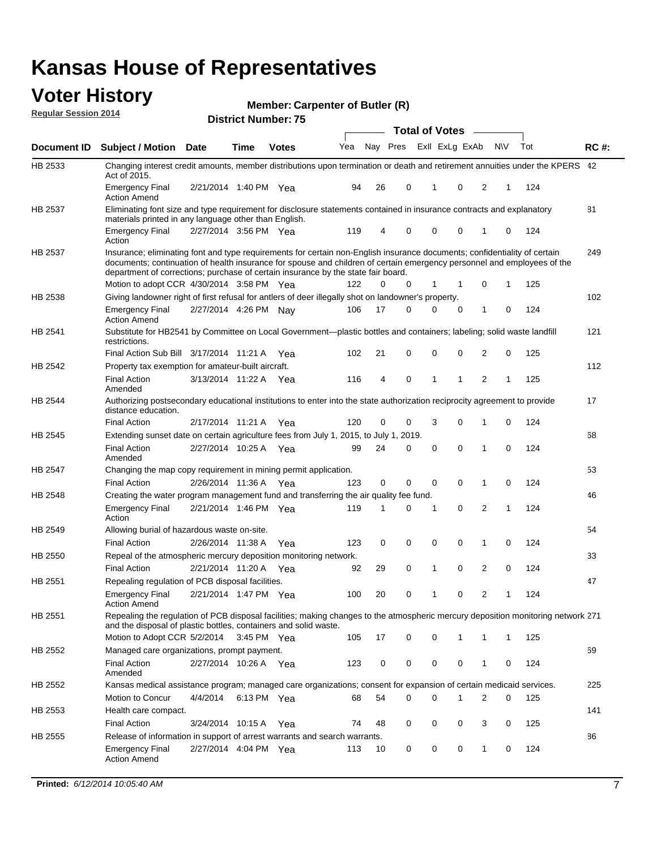#### **Voter History Regular Session 2014**

| Member: Carpenter of Butler (R) |  |  |
|---------------------------------|--|--|
|---------------------------------|--|--|

|                |                                                                                                                                                                                                                                                                                                                                           |                       |      | ט ואטווווער וער דער <b>וי</b> סו |     |    |             | <b>Total of Votes</b> |                |              |   |     |             |
|----------------|-------------------------------------------------------------------------------------------------------------------------------------------------------------------------------------------------------------------------------------------------------------------------------------------------------------------------------------------|-----------------------|------|----------------------------------|-----|----|-------------|-----------------------|----------------|--------------|---|-----|-------------|
| Document ID    | <b>Subject / Motion Date</b>                                                                                                                                                                                                                                                                                                              |                       | Time | <b>Votes</b>                     | Yea |    | Nay Pres    |                       | Exll ExLg ExAb | N\V          |   | Tot | <b>RC#:</b> |
| HB 2533        | Changing interest credit amounts, member distributions upon termination or death and retirement annuities under the KPERS 42<br>Act of 2015.                                                                                                                                                                                              |                       |      |                                  |     |    |             |                       |                |              |   |     |             |
|                | <b>Emergency Final</b><br><b>Action Amend</b>                                                                                                                                                                                                                                                                                             | 2/21/2014 1:40 PM Yea |      |                                  | 94  | 26 | 0           | $\mathbf{1}$          | 0              | 2            | 1 | 124 |             |
| HB 2537        | Eliminating font size and type requirement for disclosure statements contained in insurance contracts and explanatory<br>materials printed in any language other than English.                                                                                                                                                            |                       |      |                                  |     |    |             |                       |                |              |   |     | 81          |
|                | <b>Emergency Final</b><br>Action                                                                                                                                                                                                                                                                                                          | 2/27/2014 3:56 PM Yea |      |                                  | 119 | 4  | 0           | 0                     | 0              | 1            | 0 | 124 |             |
| HB 2537        | Insurance; eliminating font and type requirements for certain non-English insurance documents; confidentiality of certain<br>documents; continuation of health insurance for spouse and children of certain emergency personnel and employees of the<br>department of corrections; purchase of certain insurance by the state fair board. |                       |      |                                  |     |    |             |                       |                |              |   |     | 249         |
|                | Motion to adopt CCR 4/30/2014 3:58 PM Yea                                                                                                                                                                                                                                                                                                 |                       |      |                                  | 122 | 0  | 0           | 1                     | -1             | 0            | 1 | 125 |             |
| HB 2538        | Giving landowner right of first refusal for antlers of deer illegally shot on landowner's property.                                                                                                                                                                                                                                       |                       |      |                                  |     |    |             |                       |                |              |   |     | 102         |
|                | <b>Emergency Final</b><br><b>Action Amend</b>                                                                                                                                                                                                                                                                                             | 2/27/2014 4:26 PM Nay |      |                                  | 106 | 17 | 0           | 0                     | 0              | 1            | 0 | 124 |             |
| HB 2541        | Substitute for HB2541 by Committee on Local Government—plastic bottles and containers; labeling; solid waste landfill<br>restrictions.                                                                                                                                                                                                    |                       |      |                                  |     |    |             |                       |                |              |   |     | 121         |
|                | Final Action Sub Bill 3/17/2014 11:21 A Yea                                                                                                                                                                                                                                                                                               |                       |      |                                  | 102 | 21 | 0           | 0                     | 0              | 2            | 0 | 125 |             |
| HB 2542        | Property tax exemption for amateur-built aircraft.<br><b>Final Action</b><br>Amended                                                                                                                                                                                                                                                      | 3/13/2014 11:22 A Yea |      |                                  | 116 | 4  | 0           | $\mathbf{1}$          | 1              | 2            | 1 | 125 | 112         |
| HB 2544        | Authorizing postsecondary educational institutions to enter into the state authorization reciprocity agreement to provide<br>distance education.                                                                                                                                                                                          |                       |      |                                  |     |    |             |                       |                |              |   |     | 17          |
|                | <b>Final Action</b>                                                                                                                                                                                                                                                                                                                       | 2/17/2014 11:21 A Yea |      |                                  | 120 | 0  | 0           | 3                     | 0              | 1            | 0 | 124 |             |
| HB 2545        | Extending sunset date on certain agriculture fees from July 1, 2015, to July 1, 2019.                                                                                                                                                                                                                                                     |                       |      |                                  |     |    |             |                       |                |              |   |     | 68          |
|                | <b>Final Action</b><br>Amended                                                                                                                                                                                                                                                                                                            | 2/27/2014 10:25 A Yea |      |                                  | 99  | 24 | 0           | $\mathbf 0$           | $\Omega$       | 1            | 0 | 124 |             |
| <b>HB 2547</b> | Changing the map copy requirement in mining permit application.                                                                                                                                                                                                                                                                           |                       |      |                                  |     |    |             |                       |                |              |   |     | 53          |
|                | <b>Final Action</b>                                                                                                                                                                                                                                                                                                                       | 2/26/2014 11:36 A     |      | Yea                              | 123 | 0  | 0           | 0                     | 0              | 1            | 0 | 124 |             |
| HB 2548        | Creating the water program management fund and transferring the air quality fee fund.                                                                                                                                                                                                                                                     |                       |      |                                  |     |    |             |                       |                |              |   |     | 46          |
|                | <b>Emergency Final</b><br>Action                                                                                                                                                                                                                                                                                                          | 2/21/2014 1:46 PM Yea |      |                                  | 119 | 1  | 0           | 1                     | 0              | 2            | 1 | 124 |             |
| HB 2549        | Allowing burial of hazardous waste on-site.                                                                                                                                                                                                                                                                                               |                       |      |                                  |     |    |             |                       |                |              |   |     | 54          |
|                | <b>Final Action</b>                                                                                                                                                                                                                                                                                                                       | 2/26/2014 11:38 A     |      | Yea                              | 123 | 0  | $\mathbf 0$ | 0                     | 0              | 1            | 0 | 124 |             |
| HB 2550        | Repeal of the atmospheric mercury deposition monitoring network.                                                                                                                                                                                                                                                                          |                       |      |                                  |     |    |             |                       |                |              |   |     | 33          |
|                | <b>Final Action</b>                                                                                                                                                                                                                                                                                                                       | 2/21/2014 11:20 A Yea |      |                                  | 92  | 29 | 0           | 1                     | 0              | 2            | 0 | 124 |             |
| HB 2551        | Repealing regulation of PCB disposal facilities.                                                                                                                                                                                                                                                                                          |                       |      |                                  |     |    |             |                       |                |              |   |     | 47          |
|                | <b>Emergency Final</b><br>Action Amend                                                                                                                                                                                                                                                                                                    | 2/21/2014 1:47 PM Yea |      |                                  | 100 | 20 | 0           | 1                     | 0              | 2            | 1 | 124 |             |
| HB 2551        | Repealing the regulation of PCB disposal facilities; making changes to the atmospheric mercury deposition monitoring network 271<br>and the disposal of plastic bottles, containers and solid waste.                                                                                                                                      |                       |      |                                  |     |    |             |                       |                |              |   |     |             |
|                | Motion to Adopt CCR 5/2/2014 3:45 PM Yea                                                                                                                                                                                                                                                                                                  |                       |      |                                  | 105 | 17 | 0           | 0                     | 1              | 1            | 1 | 125 |             |
| HB 2552        | Managed care organizations, prompt payment.                                                                                                                                                                                                                                                                                               |                       |      |                                  |     |    |             |                       |                |              |   |     | 69          |
|                | <b>Final Action</b><br>Amended                                                                                                                                                                                                                                                                                                            | 2/27/2014 10:26 A Yea |      |                                  | 123 | 0  | 0           | 0                     | 0              | 1            | 0 | 124 |             |
| HB 2552        | Kansas medical assistance program; managed care organizations; consent for expansion of certain medicaid services.                                                                                                                                                                                                                        |                       |      |                                  |     |    |             |                       |                |              |   |     | 225         |
|                | Motion to Concur                                                                                                                                                                                                                                                                                                                          | 4/4/2014              |      | 6:13 PM Yea                      | 68  | 54 | 0           | 0                     | 1              | 2            | 0 | 125 |             |
| HB 2553        | Health care compact.                                                                                                                                                                                                                                                                                                                      |                       |      |                                  |     |    |             |                       |                |              |   |     | 141         |
|                | <b>Final Action</b>                                                                                                                                                                                                                                                                                                                       | 3/24/2014 10:15 A Yea |      |                                  | 74  | 48 | 0           | 0                     | 0              | 3            | 0 | 125 |             |
| HB 2555        | Release of information in support of arrest warrants and search warrants.                                                                                                                                                                                                                                                                 |                       |      |                                  |     |    |             |                       |                |              |   |     | 86          |
|                | <b>Emergency Final</b><br><b>Action Amend</b>                                                                                                                                                                                                                                                                                             | 2/27/2014 4:04 PM Yea |      |                                  | 113 | 10 | 0           | 0                     | 0              | $\mathbf{1}$ | 0 | 124 |             |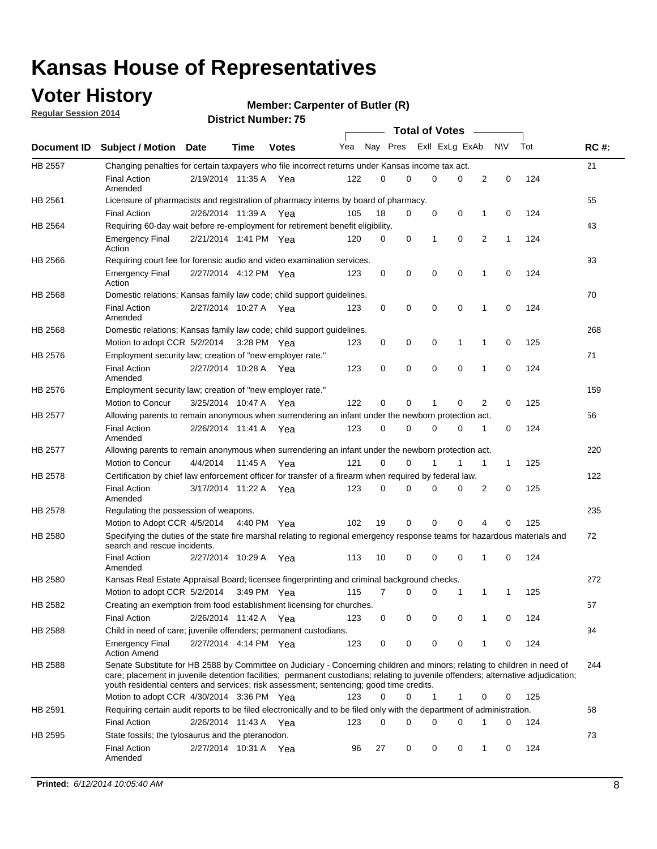### **Voter History**

**Regular Session 2014**

#### **Member: Carpenter of Butler (R)**

|                |                                                                                                                                                                                                                                                                                                                                                           |                       |             | DISTRICT MAILINGLE 13 |     |          |   |              | <b>Total of Votes</b> |              |              |     |             |
|----------------|-----------------------------------------------------------------------------------------------------------------------------------------------------------------------------------------------------------------------------------------------------------------------------------------------------------------------------------------------------------|-----------------------|-------------|-----------------------|-----|----------|---|--------------|-----------------------|--------------|--------------|-----|-------------|
|                | Document ID Subject / Motion Date                                                                                                                                                                                                                                                                                                                         |                       | <b>Time</b> | <b>Votes</b>          | Yea | Nay Pres |   |              | Exll ExLg ExAb        |              | <b>NV</b>    | Tot | <b>RC#:</b> |
| HB 2557        | Changing penalties for certain taxpayers who file incorrect returns under Kansas income tax act.                                                                                                                                                                                                                                                          |                       |             |                       |     |          |   |              |                       |              |              |     | 21          |
|                | <b>Final Action</b><br>Amended                                                                                                                                                                                                                                                                                                                            | 2/19/2014 11:35 A Yea |             |                       | 122 | 0        | 0 |              | $\Omega$<br>0         | 2            | $\mathbf 0$  | 124 |             |
| HB 2561        | Licensure of pharmacists and registration of pharmacy interns by board of pharmacy.                                                                                                                                                                                                                                                                       |                       |             |                       |     |          |   |              |                       |              |              |     | 55          |
|                | <b>Final Action</b>                                                                                                                                                                                                                                                                                                                                       | 2/26/2014 11:39 A     |             | Yea                   | 105 | 18       | 0 |              | 0<br>0                | 1            | 0            | 124 |             |
| HB 2564        | Requiring 60-day wait before re-employment for retirement benefit eligibility.                                                                                                                                                                                                                                                                            |                       |             |                       |     |          |   |              |                       |              |              |     | 43          |
|                | <b>Emergency Final</b><br>Action                                                                                                                                                                                                                                                                                                                          | 2/21/2014 1:41 PM Yea |             |                       | 120 | 0        | 0 | 1            | 0                     | 2            | $\mathbf{1}$ | 124 |             |
| HB 2566        | Requiring court fee for forensic audio and video examination services.                                                                                                                                                                                                                                                                                    |                       |             |                       |     |          |   |              |                       |              |              |     | 93          |
|                | <b>Emergency Final</b><br>Action                                                                                                                                                                                                                                                                                                                          | 2/27/2014 4:12 PM Yea |             |                       | 123 | 0        | 0 |              | 0<br>$\mathbf 0$      | 1            | 0            | 124 |             |
| HB 2568        | Domestic relations; Kansas family law code; child support guidelines.                                                                                                                                                                                                                                                                                     |                       |             |                       |     |          |   |              |                       |              |              |     | 70          |
|                | <b>Final Action</b><br>Amended                                                                                                                                                                                                                                                                                                                            | 2/27/2014 10:27 A Yea |             |                       | 123 | 0        | 0 |              | 0<br>0                | $\mathbf{1}$ | 0            | 124 |             |
| HB 2568        | Domestic relations; Kansas family law code; child support guidelines.                                                                                                                                                                                                                                                                                     |                       |             |                       |     |          |   |              |                       |              |              |     | 268         |
|                | Motion to adopt CCR 5/2/2014                                                                                                                                                                                                                                                                                                                              |                       | 3:28 PM Yea |                       | 123 | 0        | 0 | 0            | 1                     | 1            | 0            | 125 |             |
| HB 2576        | Employment security law; creation of "new employer rate."                                                                                                                                                                                                                                                                                                 |                       |             |                       |     |          |   |              |                       |              |              |     | 71          |
|                | <b>Final Action</b><br>Amended                                                                                                                                                                                                                                                                                                                            | 2/27/2014 10:28 A     |             | Yea                   | 123 | 0        | 0 |              | 0<br>$\mathbf 0$      | 1            | $\mathbf 0$  | 124 |             |
| HB 2576        | Employment security law; creation of "new employer rate."                                                                                                                                                                                                                                                                                                 |                       |             |                       |     |          |   |              |                       |              |              |     | 159         |
|                | Motion to Concur                                                                                                                                                                                                                                                                                                                                          | 3/25/2014 10:47 A     |             | Yea                   | 122 | 0        | 0 | 1            | 0                     | 2            | 0            | 125 |             |
| <b>HB 2577</b> | Allowing parents to remain anonymous when surrendering an infant under the newborn protection act.                                                                                                                                                                                                                                                        |                       |             |                       |     |          |   |              |                       |              |              |     | 56          |
|                | <b>Final Action</b><br>Amended                                                                                                                                                                                                                                                                                                                            | 2/26/2014 11:41 A Yea |             |                       | 123 | 0        | 0 |              | 0<br>0                | 1            | 0            | 124 |             |
| HB 2577        | Allowing parents to remain anonymous when surrendering an infant under the newborn protection act.                                                                                                                                                                                                                                                        |                       |             |                       |     |          |   |              |                       |              |              |     | 220         |
|                | <b>Motion to Concur</b>                                                                                                                                                                                                                                                                                                                                   | 4/4/2014              | 11:45 A     | Yea                   | 121 | $\Omega$ | 0 |              | 1                     | 1            | $\mathbf{1}$ | 125 |             |
| HB 2578        | Certification by chief law enforcement officer for transfer of a firearm when required by federal law.                                                                                                                                                                                                                                                    |                       |             |                       |     |          |   |              |                       |              |              |     | 122         |
|                | <b>Final Action</b><br>Amended                                                                                                                                                                                                                                                                                                                            | 3/17/2014 11:22 A Yea |             |                       | 123 | 0        | 0 |              | 0<br>$\Omega$         | 2            | 0            | 125 |             |
| HB 2578        | Regulating the possession of weapons.                                                                                                                                                                                                                                                                                                                     |                       |             |                       |     |          |   |              |                       |              |              |     | 235         |
|                | Motion to Adopt CCR 4/5/2014 4:40 PM Yea                                                                                                                                                                                                                                                                                                                  |                       |             |                       | 102 | 19       | 0 |              | 0<br>$\mathbf 0$      | 4            | 0            | 125 |             |
| HB 2580        | Specifying the duties of the state fire marshal relating to regional emergency response teams for hazardous materials and<br>search and rescue incidents.                                                                                                                                                                                                 |                       |             |                       |     |          |   |              |                       |              |              |     | 72          |
|                | <b>Final Action</b><br>Amended                                                                                                                                                                                                                                                                                                                            | 2/27/2014 10:29 A     |             | Yea                   | 113 | 10       | 0 |              | 0<br>0                | 1            | 0            | 124 |             |
| HB 2580        | Kansas Real Estate Appraisal Board; licensee fingerprinting and criminal background checks.                                                                                                                                                                                                                                                               |                       |             |                       |     |          |   |              |                       |              |              |     | 272         |
|                | Motion to adopt CCR 5/2/2014                                                                                                                                                                                                                                                                                                                              |                       | 3:49 PM Yea |                       | 115 | 7        | 0 |              | 0<br>1                | 1            | -1           | 125 |             |
| HB 2582        | Creating an exemption from food establishment licensing for churches.                                                                                                                                                                                                                                                                                     |                       |             |                       |     |          |   |              |                       |              |              |     | 57          |
|                | <b>Final Action</b>                                                                                                                                                                                                                                                                                                                                       | 2/26/2014 11:42 A     |             | Yea                   | 123 | 0        | 0 |              | 0<br>0                | 1            | 0            | 124 |             |
| HB 2588        | Child in need of care; juvenile offenders; permanent custodians.                                                                                                                                                                                                                                                                                          |                       |             |                       |     |          |   |              |                       |              |              |     | 94          |
|                | <b>Emergency Final</b><br><b>Action Amend</b>                                                                                                                                                                                                                                                                                                             | 2/27/2014 4:14 PM Yea |             |                       | 123 | 0        | 0 |              | 0<br>0                | 1            | 0            | 124 |             |
| HB 2588        | Senate Substitute for HB 2588 by Committee on Judiciary - Concerning children and minors; relating to children in need of<br>care; placement in juvenile detention facilities; permanent custodians; relating to juvenile offenders; alternative adjudication;<br>youth residential centers and services; risk assessment; sentencing; good time credits. |                       |             |                       |     |          |   |              |                       |              |              |     | 244         |
|                | Motion to adopt CCR 4/30/2014 3:36 PM Yea                                                                                                                                                                                                                                                                                                                 |                       |             |                       | 123 | 0        | 0 | $\mathbf{1}$ | 1                     | 0            | 0            | 125 |             |
| HB 2591        | Requiring certain audit reports to be filed electronically and to be filed only with the department of administration.                                                                                                                                                                                                                                    |                       |             |                       |     |          |   |              |                       |              |              |     | 58          |
|                | <b>Final Action</b>                                                                                                                                                                                                                                                                                                                                       | 2/26/2014 11:43 A Yea |             |                       | 123 | 0        | 0 |              | 0<br>0                | 1            | 0            | 124 |             |
| HB 2595        | State fossils; the tylosaurus and the pteranodon.                                                                                                                                                                                                                                                                                                         |                       |             |                       |     |          |   |              |                       |              |              |     | 73          |
|                | <b>Final Action</b><br>Amended                                                                                                                                                                                                                                                                                                                            | 2/27/2014 10:31 A Yea |             |                       | 96  | 27       | 0 |              | 0<br>0                | 1            | 0            | 124 |             |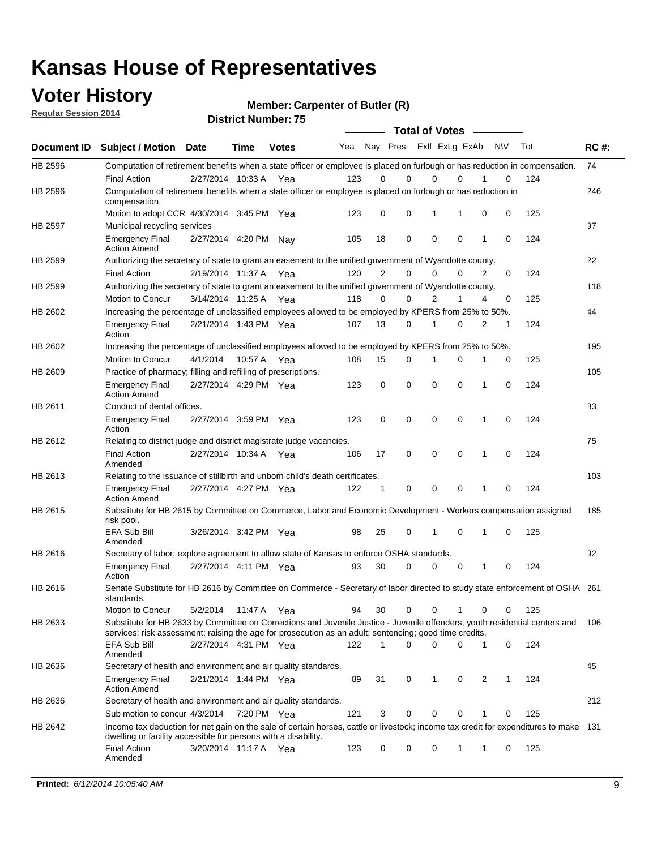### **Voter History**

**Regular Session 2014**

**Member: Carpenter of Butler (R)** 

|                    |                                                                                                                                                                                                                                       |                       |             | DISTRICT MAILINGLE 13 |     |              |                         |   | <b>Total of Votes</b> |             |              |             |     |             |
|--------------------|---------------------------------------------------------------------------------------------------------------------------------------------------------------------------------------------------------------------------------------|-----------------------|-------------|-----------------------|-----|--------------|-------------------------|---|-----------------------|-------------|--------------|-------------|-----|-------------|
| <b>Document ID</b> | <b>Subject / Motion</b>                                                                                                                                                                                                               | <b>Date</b>           | Time        | <b>Votes</b>          | Yea |              | Nay Pres Exll ExLg ExAb |   |                       |             |              | <b>NV</b>   | Tot | <b>RC#:</b> |
| HB 2596            | Computation of retirement benefits when a state officer or employee is placed on furlough or has reduction in compensation.                                                                                                           |                       |             |                       |     |              |                         |   |                       |             |              |             |     | 74          |
|                    | <b>Final Action</b>                                                                                                                                                                                                                   | 2/27/2014 10:33 A     |             | Yea                   | 123 | 0            | $\Omega$                |   | 0                     | $\Omega$    |              | 0           | 124 |             |
| HB 2596            | Computation of retirement benefits when a state officer or employee is placed on furlough or has reduction in<br>compensation.                                                                                                        |                       |             |                       |     |              |                         |   |                       |             |              |             |     | 246         |
|                    | Motion to adopt CCR 4/30/2014 3:45 PM Yea                                                                                                                                                                                             |                       |             |                       | 123 | 0            | 0                       |   | 1                     | 1           | 0            | 0           | 125 |             |
| HB 2597            | Municipal recycling services                                                                                                                                                                                                          |                       |             |                       |     |              |                         |   |                       |             |              |             |     | 97          |
|                    | <b>Emergency Final</b><br><b>Action Amend</b>                                                                                                                                                                                         | 2/27/2014 4:20 PM     |             | Nav                   | 105 | 18           | 0                       |   | $\mathbf 0$           | 0           | 1            | $\mathbf 0$ | 124 |             |
| HB 2599            | Authorizing the secretary of state to grant an easement to the unified government of Wyandotte county.                                                                                                                                |                       |             |                       |     |              |                         |   |                       |             |              |             |     | 22          |
|                    | <b>Final Action</b>                                                                                                                                                                                                                   | 2/19/2014 11:37 A     |             | Yea                   | 120 | 2            | $\mathbf 0$             |   | 0                     | 0           | 2            | 0           | 124 |             |
| HB 2599            | Authorizing the secretary of state to grant an easement to the unified government of Wyandotte county.                                                                                                                                |                       |             |                       |     |              |                         |   |                       |             |              |             |     | 118         |
|                    | Motion to Concur                                                                                                                                                                                                                      | 3/14/2014 11:25 A     |             | Yea                   | 118 | $\Omega$     | 0                       |   | $\overline{2}$        | 1           | 4            | 0           | 125 |             |
| HB 2602            | Increasing the percentage of unclassified employees allowed to be employed by KPERS from 25% to 50%.                                                                                                                                  |                       |             |                       |     |              |                         |   |                       |             |              |             |     | 44          |
|                    | <b>Emergency Final</b><br>Action                                                                                                                                                                                                      | 2/21/2014 1:43 PM Yea |             |                       | 107 | 13           | 0                       |   | 1                     | 0           | 2            | 1           | 124 |             |
| HB 2602            | Increasing the percentage of unclassified employees allowed to be employed by KPERS from 25% to 50%.                                                                                                                                  |                       |             |                       |     |              |                         |   |                       |             |              |             |     | 195         |
|                    | Motion to Concur                                                                                                                                                                                                                      | 4/1/2014              | 10:57 A Yea |                       | 108 | 15           | 0                       | 1 |                       | 0           |              | 0           | 125 |             |
| HB 2609            | Practice of pharmacy; filling and refilling of prescriptions.                                                                                                                                                                         |                       |             |                       |     |              |                         |   |                       |             |              |             |     | 105         |
|                    | <b>Emergency Final</b><br><b>Action Amend</b>                                                                                                                                                                                         | 2/27/2014 4:29 PM Yea |             |                       | 123 | 0            | $\mathbf 0$             |   | $\mathbf 0$           | $\mathbf 0$ | 1            | $\mathbf 0$ | 124 |             |
| HB 2611            | Conduct of dental offices.                                                                                                                                                                                                            |                       |             |                       |     |              |                         |   |                       |             |              |             |     | 83          |
|                    | <b>Emergency Final</b><br>Action                                                                                                                                                                                                      | 2/27/2014 3:59 PM Yea |             |                       | 123 | 0            | $\mathbf 0$             |   | $\mathbf 0$           | 0           | 1            | 0           | 124 |             |
| HB 2612            | Relating to district judge and district magistrate judge vacancies.                                                                                                                                                                   |                       |             |                       |     |              |                         |   |                       |             |              |             |     | 75          |
|                    | <b>Final Action</b><br>Amended                                                                                                                                                                                                        | 2/27/2014 10:34 A     |             | Yea                   | 106 | 17           | $\mathbf 0$             |   | $\mathbf 0$           | 0           | 1            | $\mathbf 0$ | 124 |             |
| HB 2613            | Relating to the issuance of stillbirth and unborn child's death certificates.                                                                                                                                                         |                       |             |                       |     |              |                         |   |                       |             |              |             |     | 103         |
|                    | <b>Emergency Final</b><br><b>Action Amend</b>                                                                                                                                                                                         | 2/27/2014 4:27 PM Yea |             |                       | 122 | 1            | 0                       |   | $\mathbf 0$           | $\Omega$    | 1            | $\Omega$    | 124 |             |
| HB 2615            | Substitute for HB 2615 by Committee on Commerce, Labor and Economic Development - Workers compensation assigned<br>risk pool.                                                                                                         |                       |             |                       |     |              |                         |   |                       |             |              |             |     | 185         |
|                    | <b>EFA Sub Bill</b><br>Amended                                                                                                                                                                                                        | 3/26/2014 3:42 PM Yea |             |                       | 98  | 25           | 0                       |   | 1                     | 0           | 1            | 0           | 125 |             |
| HB 2616            | Secretary of labor; explore agreement to allow state of Kansas to enforce OSHA standards.                                                                                                                                             |                       |             |                       |     |              |                         |   |                       |             |              |             |     | 92          |
|                    | <b>Emergency Final</b><br>Action                                                                                                                                                                                                      | 2/27/2014 4:11 PM Yea |             |                       | 93  | 30           | 0                       |   | 0                     | 0           | 1            | 0           | 124 |             |
| HB 2616            | Senate Substitute for HB 2616 by Committee on Commerce - Secretary of labor directed to study state enforcement of OSHA 261<br>standards.                                                                                             |                       |             |                       |     |              |                         |   |                       |             |              |             |     |             |
|                    | Motion to Concur                                                                                                                                                                                                                      | 5/2/2014              | 11:47 A Yea |                       | 94  | 30           | 0                       |   | 0                     |             | 0            | 0           | 125 |             |
| HB 2633            | Substitute for HB 2633 by Committee on Corrections and Juvenile Justice - Juvenile offenders; youth residential centers and<br>services; risk assessment; raising the age for prosecution as an adult; sentencing; good time credits. |                       |             |                       |     |              |                         |   |                       |             |              |             |     | 106         |
|                    | <b>EFA Sub Bill</b><br>Amended                                                                                                                                                                                                        | 2/27/2014 4:31 PM Yea |             |                       | 122 | $\mathbf{1}$ | $\Omega$                |   | 0                     | 0           | $\mathbf{1}$ | 0           | 124 |             |
| HB 2636            | Secretary of health and environment and air quality standards.                                                                                                                                                                        |                       |             |                       |     |              |                         |   |                       |             |              |             |     | 45          |
|                    | <b>Emergency Final</b><br><b>Action Amend</b>                                                                                                                                                                                         | 2/21/2014 1:44 PM Yea |             |                       | 89  | 31           | 0                       |   | 1                     | 0           | 2            | 1           | 124 |             |
| HB 2636            | Secretary of health and environment and air quality standards.                                                                                                                                                                        |                       |             |                       |     |              |                         |   |                       |             |              |             |     | 212         |
|                    | Sub motion to concur 4/3/2014 7:20 PM Yea                                                                                                                                                                                             |                       |             |                       | 121 | 3            | 0                       |   | 0                     | 0           |              | 0           | 125 |             |
| HB 2642            | Income tax deduction for net gain on the sale of certain horses, cattle or livestock; income tax credit for expenditures to make 131<br>dwelling or facility accessible for persons with a disability.                                |                       |             |                       |     |              |                         |   |                       |             |              |             |     |             |
|                    | <b>Final Action</b><br>Amended                                                                                                                                                                                                        | 3/20/2014 11:17 A Yea |             |                       | 123 | 0            | 0                       |   | 0                     | 1           | 1            | 0           | 125 |             |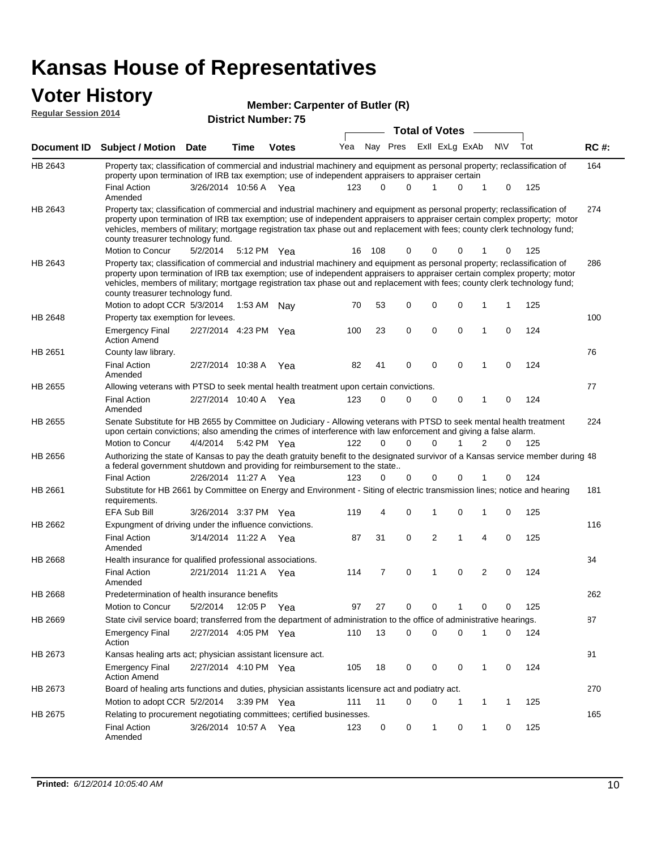#### **Voter History**

| <b>Reqular Session 2014</b> | VW HUVVI J                                                                                                                                                                                                                                                                                                                                                                                                                                        |                       |             |              | Member: Carpenter of Butler (R) |          |          |  |                |             |              |             |     |             |
|-----------------------------|---------------------------------------------------------------------------------------------------------------------------------------------------------------------------------------------------------------------------------------------------------------------------------------------------------------------------------------------------------------------------------------------------------------------------------------------------|-----------------------|-------------|--------------|---------------------------------|----------|----------|--|----------------|-------------|--------------|-------------|-----|-------------|
|                             | <b>District Number: 75</b><br><b>Total of Votes</b>                                                                                                                                                                                                                                                                                                                                                                                               |                       |             |              |                                 |          |          |  |                |             |              |             |     |             |
| <b>Document ID</b>          | <b>Subject / Motion Date</b>                                                                                                                                                                                                                                                                                                                                                                                                                      |                       | <b>Time</b> | <b>Votes</b> | Yea                             |          | Nay Pres |  | Exll ExLg ExAb |             |              | <b>NV</b>   | Tot | <b>RC#:</b> |
| HB 2643                     | Property tax; classification of commercial and industrial machinery and equipment as personal property; reclassification of<br>property upon termination of IRB tax exemption; use of independent appraisers to appraiser certain<br><b>Final Action</b>                                                                                                                                                                                          | 3/26/2014 10:56 A Yea |             |              | 123                             | $\Omega$ | U        |  |                | 0           | 1            | $\mathbf 0$ | 125 | 164         |
| HB 2643                     | Amended<br>Property tax; classification of commercial and industrial machinery and equipment as personal property; reclassification of<br>property upon termination of IRB tax exemption; use of independent appraisers to appraiser certain complex property; motor<br>vehicles, members of military; mortgage registration tax phase out and replacement with fees; county clerk technology fund;<br>county treasurer technology fund.          |                       |             |              |                                 |          |          |  |                |             |              |             |     | 274         |
| HB 2643                     | Motion to Concur<br>Property tax; classification of commercial and industrial machinery and equipment as personal property; reclassification of<br>property upon termination of IRB tax exemption; use of independent appraisers to appraiser certain complex property; motor<br>vehicles, members of military; mortgage registration tax phase out and replacement with fees; county clerk technology fund;<br>county treasurer technology fund. | 5/2/2014              | 5:12 PM Yea |              | 16                              | 108      | 0        |  | 0              | 0           |              | 0           | 125 | 286         |
| <b>HB 2648</b>              | Motion to adopt CCR 5/3/2014<br>Property tax exemption for levees.                                                                                                                                                                                                                                                                                                                                                                                |                       | 1:53 AM Nay |              | 70                              | 53       | 0        |  | 0              | 0           | 1            |             | 125 | 100         |
|                             | <b>Emergency Final</b><br><b>Action Amend</b>                                                                                                                                                                                                                                                                                                                                                                                                     | 2/27/2014 4:23 PM Yea |             |              | 100                             | 23       | $\Omega$ |  | $\Omega$       | $\Omega$    | $\mathbf{1}$ | $\Omega$    | 124 |             |
| HB 2651                     | County law library.<br><b>Final Action</b><br>Amended                                                                                                                                                                                                                                                                                                                                                                                             | 2/27/2014 10:38 A     |             | - Yea        | 82                              | 41       | $\Omega$ |  | $\Omega$       | $\mathbf 0$ | 1            | $\Omega$    | 124 | 76          |
| HB 2655                     | Allowing veterans with PTSD to seek mental health treatment upon certain convictions.<br><b>Final Action</b><br>Amended                                                                                                                                                                                                                                                                                                                           | 2/27/2014 10:40 A Yea |             |              | 123                             | 0        | $\Omega$ |  | 0              | 0           | 1            | $\mathbf 0$ | 124 | 77          |
| HB 2655                     | Senate Substitute for HB 2655 by Committee on Judiciary - Allowing veterans with PTSD to seek mental health treatment<br>upon certain convictions; also amending the crimes of interference with law enforcement and giving a false alarm.                                                                                                                                                                                                        |                       |             |              |                                 |          |          |  |                |             |              |             |     | 224         |
|                             | Motion to Concur                                                                                                                                                                                                                                                                                                                                                                                                                                  | 4/4/2014              | 5:42 PM Yea |              | 122                             | $\Omega$ | $\Omega$ |  | $\Omega$       |             | 2            | $\Omega$    | 125 |             |
| <b>HB 2656</b>              | Authorizing the state of Kansas to pay the death gratuity benefit to the designated survivor of a Kansas service member during 48<br>a federal government shutdown and providing for reimbursement to the state                                                                                                                                                                                                                                   |                       |             |              |                                 |          |          |  |                |             |              |             |     |             |
|                             | <b>Final Action</b>                                                                                                                                                                                                                                                                                                                                                                                                                               | 2/26/2014 11:27 A Yea |             |              | 123                             | $\Omega$ | ი        |  | 0              | 0           |              | 0           | 124 |             |
| HB 2661                     | Substitute for HB 2661 by Committee on Energy and Environment - Siting of electric transmission lines; notice and hearing<br>requirements.                                                                                                                                                                                                                                                                                                        |                       |             |              |                                 |          |          |  |                |             |              |             |     | 181         |

3/26/2014 EFA Sub Bill Yea 125 3:37 PM 119 4 0 0 10 1

3/14/2014 Final Action Yea 125 11:22 A 87 31 1 0 40 2

2/21/2014 Final Action Yea 124 11:21 A 114 7 0 0 20 1

Motion to Concur 5/2/2014 12:05 P Yea 97 27 0 0 1 0 0 125

State civil service board; transferred from the department of administration to the office of administrative hearings.

2/27/2014 Emergency Final Yea 124 4:05 PM 110 13 0 0 10 0

Emergency Final 2/27/2014 4:10 PM Yea 405 18 0 0 0 1 0 124

Motion to adopt CCR 5/2/2014 3:39 PM Yea 111 11 0 0 1 1 1 125

Final Action 3/26/2014 10:57 A Yea 123 0 0 1 0 125

Board of healing arts functions and duties, physician assistants licensure act and podiatry act.

Amended

Amended

Amended

Action

Action Amend

Expungment of driving under the influence convictions.

Health insurance for qualified professional associations.

Kansas healing arts act; physician assistant licensure act.

Relating to procurement negotiating committees; certified businesses.

Predetermination of health insurance benefits

HB 2662

HB 2668

HB 2668

HB 2669

HB 2673

HB 2673

HB 2675

116

34

262

87

91

270

165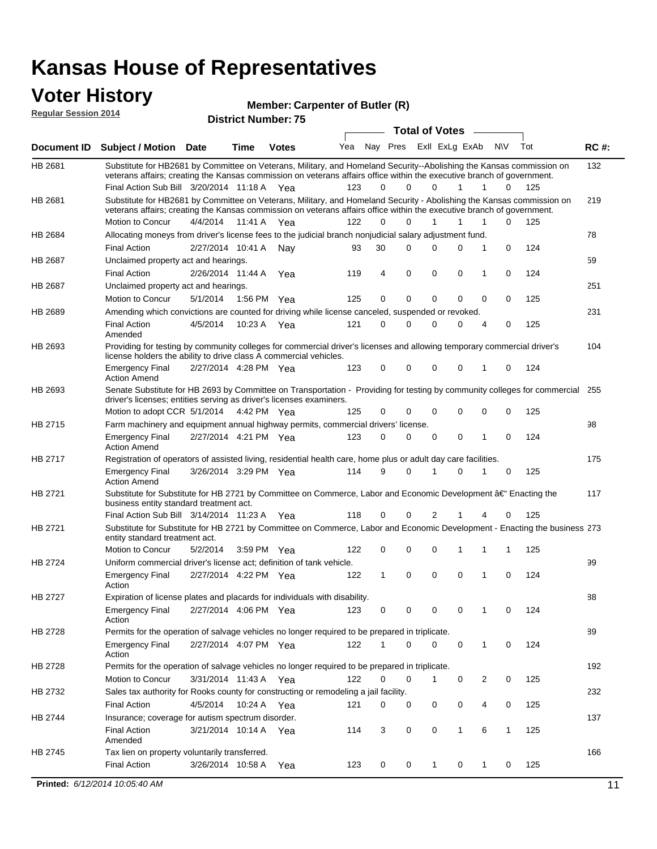#### **Voter History**

**Member: Carpenter of Butler (R) Regular Session 2014**

| noguidi ocoololi 4014 |                                                                                                                                                                                                                                                                                               |                       |             | <b>District Number: 75</b> |     |             |                         |    |                       |              |                   |     |             |
|-----------------------|-----------------------------------------------------------------------------------------------------------------------------------------------------------------------------------------------------------------------------------------------------------------------------------------------|-----------------------|-------------|----------------------------|-----|-------------|-------------------------|----|-----------------------|--------------|-------------------|-----|-------------|
|                       |                                                                                                                                                                                                                                                                                               |                       |             |                            |     |             |                         |    | <b>Total of Votes</b> |              |                   |     |             |
| <b>Document ID</b>    | <b>Subject / Motion Date</b>                                                                                                                                                                                                                                                                  |                       | <b>Time</b> | <b>Votes</b>               | Yea |             | Nay Pres Exll ExLg ExAb |    |                       |              | <b>NV</b>         | Tot | <b>RC#:</b> |
| HB 2681               | Substitute for HB2681 by Committee on Veterans, Military, and Homeland Security--Abolishing the Kansas commission on<br>veterans affairs; creating the Kansas commission on veterans affairs office within the executive branch of government.<br>Final Action Sub Bill 3/20/2014 11:18 A Yea |                       |             |                            | 123 | 0           | $\Omega$                |    | $\Omega$              |              | 1<br>0            | 125 | 132         |
| HB 2681               | Substitute for HB2681 by Committee on Veterans, Military, and Homeland Security - Abolishing the Kansas commission on                                                                                                                                                                         |                       |             |                            |     |             |                         |    |                       |              |                   |     | 219         |
|                       | veterans affairs; creating the Kansas commission on veterans affairs office within the executive branch of government.                                                                                                                                                                        |                       |             |                            |     |             |                         |    |                       |              |                   |     |             |
|                       | Motion to Concur                                                                                                                                                                                                                                                                              | 4/4/2014              | 11:41 A     | Yea                        | 122 | 0           | 0                       |    | $\mathbf{1}$          | 1            | 0<br>1            | 125 |             |
| HB 2684               | Allocating moneys from driver's license fees to the judicial branch nonjudicial salary adjustment fund.                                                                                                                                                                                       |                       |             |                            |     |             |                         |    |                       |              |                   |     | 78          |
|                       | <b>Final Action</b>                                                                                                                                                                                                                                                                           | 2/27/2014 10:41 A     |             | Nav                        | 93  | 30          | $\Omega$                |    | $\Omega$              | 0            | 1<br>0            | 124 |             |
| HB 2687               | Unclaimed property act and hearings.                                                                                                                                                                                                                                                          |                       |             |                            |     |             |                         |    |                       |              |                   |     | 59          |
|                       | <b>Final Action</b>                                                                                                                                                                                                                                                                           | 2/26/2014 11:44 A     |             | Yea                        | 119 | 4           | $\mathbf 0$             |    | 0                     | 0            | 0<br>$\mathbf{1}$ | 124 |             |
| HB 2687               | Unclaimed property act and hearings.                                                                                                                                                                                                                                                          |                       |             |                            |     |             |                         |    |                       |              |                   |     | 251         |
|                       | Motion to Concur                                                                                                                                                                                                                                                                              | 5/1/2014              |             | 1:56 PM Yea                | 125 | $\mathbf 0$ | $\mathbf 0$             |    | 0                     | 0            | 0<br>0            | 125 |             |
| HB 2689               | Amending which convictions are counted for driving while license canceled, suspended or revoked.                                                                                                                                                                                              |                       |             |                            |     |             |                         |    |                       |              |                   |     | 231         |
|                       | <b>Final Action</b><br>Amended                                                                                                                                                                                                                                                                | 4/5/2014              | 10:23 A     | Yea                        | 121 | $\mathbf 0$ | 0                       |    | $\Omega$              | 0            | 0<br>4            | 125 |             |
| HB 2693               | Providing for testing by community colleges for commercial driver's licenses and allowing temporary commercial driver's<br>license holders the ability to drive class A commercial vehicles.                                                                                                  |                       |             |                            |     |             |                         |    |                       |              |                   |     | 104         |
|                       | <b>Emergency Final</b><br><b>Action Amend</b>                                                                                                                                                                                                                                                 | 2/27/2014 4:28 PM Yea |             |                            | 123 | 0           | 0                       |    | $\Omega$              | $\mathbf 0$  | 0<br>1            | 124 |             |
| HB 2693               | Senate Substitute for HB 2693 by Committee on Transportation - Providing for testing by community colleges for commercial<br>driver's licenses; entities serving as driver's licenses examiners.<br>Motion to adopt CCR 5/1/2014                                                              |                       |             | 4:42 PM Yea                | 125 | $\Omega$    | 0                       |    | 0                     | 0            | $\Omega$<br>0     | 125 | 255         |
| HB 2715               | Farm machinery and equipment annual highway permits, commercial drivers' license.                                                                                                                                                                                                             |                       |             |                            |     |             |                         |    |                       |              |                   |     | 98          |
|                       | <b>Emergency Final</b><br><b>Action Amend</b>                                                                                                                                                                                                                                                 | 2/27/2014 4:21 PM Yea |             |                            | 123 | 0           | 0                       |    | 0                     | 0            | 0<br>1            | 124 |             |
| HB 2717               | Registration of operators of assisted living, residential health care, home plus or adult day care facilities.                                                                                                                                                                                |                       |             |                            |     |             |                         |    |                       |              |                   |     | 175         |
|                       | <b>Emergency Final</b><br><b>Action Amend</b>                                                                                                                                                                                                                                                 | 3/26/2014 3:29 PM Yea |             |                            | 114 | 9           | $\Omega$                | -1 |                       | 0            | 0                 | 125 |             |
| HB 2721               | Substitute for Substitute for HB 2721 by Committee on Commerce, Labor and Economic Development †Enacting the<br>business entity standard treatment act.                                                                                                                                       |                       |             |                            |     |             |                         |    |                       |              |                   |     | 117         |
|                       | Final Action Sub Bill 3/14/2014 11:23 A Yea                                                                                                                                                                                                                                                   |                       |             |                            | 118 | 0           | 0                       |    | 2                     |              | 4<br>0            | 125 |             |
| HB 2721               | Substitute for Substitute for HB 2721 by Committee on Commerce, Labor and Economic Development - Enacting the business 273<br>entity standard treatment act.                                                                                                                                  |                       |             |                            |     |             |                         |    |                       |              |                   |     |             |
|                       | Motion to Concur                                                                                                                                                                                                                                                                              | 5/2/2014              |             | 3:59 PM Yea                | 122 | 0           | 0                       |    | 0                     |              | 1<br>1            | 125 |             |
| HB 2724               | Uniform commercial driver's license act; definition of tank vehicle.<br><b>Emergency Final</b><br>Action                                                                                                                                                                                      | 2/27/2014 4:22 PM Yea |             |                            | 122 | 1           | 0                       |    | 0                     | 0            | 0<br>1            | 124 | 99          |
| HB 2727               | Expiration of license plates and placards for individuals with disability.                                                                                                                                                                                                                    |                       |             |                            |     |             |                         |    |                       |              |                   |     | 88          |
|                       | <b>Emergency Final</b><br>Action                                                                                                                                                                                                                                                              | 2/27/2014 4:06 PM Yea |             |                            | 123 | 0           | 0                       |    | 0                     | 0            | -1<br>0           | 124 |             |
| HB 2728               | Permits for the operation of salvage vehicles no longer required to be prepared in triplicate.                                                                                                                                                                                                |                       |             |                            |     |             |                         |    |                       |              |                   |     | 89          |
|                       | <b>Emergency Final</b><br>Action                                                                                                                                                                                                                                                              | 2/27/2014 4:07 PM Yea |             |                            | 122 | 1           | 0                       |    | 0                     | 0            | 1<br>0            | 124 |             |
| HB 2728               | Permits for the operation of salvage vehicles no longer required to be prepared in triplicate.                                                                                                                                                                                                |                       |             |                            |     |             |                         |    |                       |              |                   |     | 192         |
|                       | Motion to Concur                                                                                                                                                                                                                                                                              | 3/31/2014 11:43 A Yea |             |                            | 122 | 0           | 0                       |    | $\mathbf{1}$          | 0            | 2<br>0            | 125 |             |
| HB 2732               | Sales tax authority for Rooks county for constructing or remodeling a jail facility.                                                                                                                                                                                                          |                       |             |                            |     |             |                         |    |                       |              |                   |     | 232         |
|                       | <b>Final Action</b>                                                                                                                                                                                                                                                                           | 4/5/2014              |             | 10:24 A Yea                | 121 | 0           | 0                       |    | 0                     | 0            | 0<br>4            | 125 |             |
| HB 2744               | Insurance; coverage for autism spectrum disorder.                                                                                                                                                                                                                                             |                       |             |                            |     |             |                         |    |                       |              |                   |     | 137         |
|                       | <b>Final Action</b><br>Amended                                                                                                                                                                                                                                                                | 3/21/2014 10:14 A Yea |             |                            | 114 | 3           | $\mathbf 0$             |    | 0                     | $\mathbf{1}$ | 6<br>1            | 125 |             |
| HB 2745               | Tax lien on property voluntarily transferred.                                                                                                                                                                                                                                                 |                       |             |                            |     |             |                         |    |                       |              |                   |     | 166         |
|                       | <b>Final Action</b>                                                                                                                                                                                                                                                                           | 3/26/2014 10:58 A     |             | Yea                        | 123 | 0           | 0                       |    | $\mathbf{1}$          | 0            | 0<br>1            | 125 |             |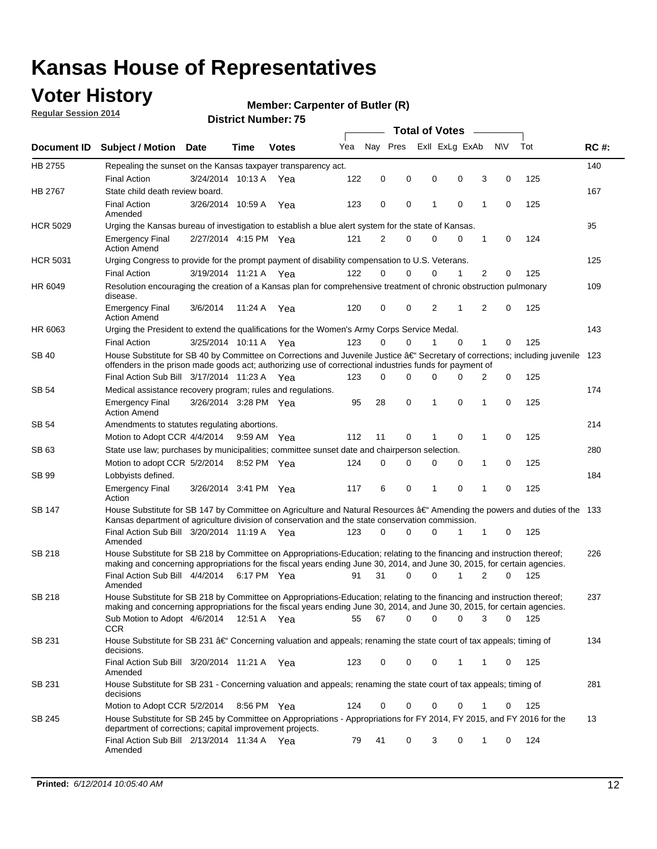### **Voter History**

**Regular Session 2014**

#### **Member: Carpenter of Butler (R)**

|                 |                                                                                                                                                                                                                                                                                     |                       |             |              |     | <b>Total of Votes</b> |          |   |                |             |                |             |     |             |
|-----------------|-------------------------------------------------------------------------------------------------------------------------------------------------------------------------------------------------------------------------------------------------------------------------------------|-----------------------|-------------|--------------|-----|-----------------------|----------|---|----------------|-------------|----------------|-------------|-----|-------------|
| Document ID     | <b>Subject / Motion Date</b>                                                                                                                                                                                                                                                        |                       | Time        | <b>Votes</b> | Yea | Nay Pres              |          |   | Exll ExLg ExAb |             |                | <b>NV</b>   | Tot | <b>RC#:</b> |
| HB 2755         | Repealing the sunset on the Kansas taxpayer transparency act.                                                                                                                                                                                                                       |                       |             |              |     |                       |          |   |                |             |                |             |     | 140         |
|                 | <b>Final Action</b>                                                                                                                                                                                                                                                                 | 3/24/2014 10:13 A     |             | Yea          | 122 | 0                     | 0        |   | 0              | 0           | 3              | 0           | 125 |             |
| HB 2767         | State child death review board.                                                                                                                                                                                                                                                     |                       |             |              |     |                       |          |   |                |             |                |             |     | 167         |
|                 | <b>Final Action</b><br>Amended                                                                                                                                                                                                                                                      | 3/26/2014 10:59 A     |             | Yea          | 123 | 0                     | 0        |   | 1              | $\mathbf 0$ | 1              | 0           | 125 |             |
| <b>HCR 5029</b> | Urging the Kansas bureau of investigation to establish a blue alert system for the state of Kansas.                                                                                                                                                                                 |                       |             |              |     |                       |          |   |                |             |                |             |     | 95          |
|                 | <b>Emergency Final</b><br><b>Action Amend</b>                                                                                                                                                                                                                                       | 2/27/2014 4:15 PM Yea |             |              | 121 | $\overline{2}$        | 0        |   | 0              | $\mathbf 0$ | 1              | 0           | 124 |             |
| <b>HCR 5031</b> | Urging Congress to provide for the prompt payment of disability compensation to U.S. Veterans.                                                                                                                                                                                      |                       |             |              |     |                       |          |   |                |             |                |             |     | 125         |
|                 | <b>Final Action</b>                                                                                                                                                                                                                                                                 | 3/19/2014 11:21 A     |             | Yea          | 122 | $\Omega$              | 0        |   | 0              | 1           | 2              | 0           | 125 |             |
| HR 6049         | Resolution encouraging the creation of a Kansas plan for comprehensive treatment of chronic obstruction pulmonary<br>disease.                                                                                                                                                       |                       |             |              |     |                       |          |   |                |             |                |             |     | 109         |
|                 | <b>Emergency Final</b><br><b>Action Amend</b>                                                                                                                                                                                                                                       | 3/6/2014              | 11:24 A     | Yea          | 120 | 0                     | 0        |   | 2              | 1           | $\overline{2}$ | $\mathbf 0$ | 125 |             |
| HR 6063         | Urging the President to extend the qualifications for the Women's Army Corps Service Medal.                                                                                                                                                                                         |                       |             |              |     |                       |          |   |                |             |                |             |     | 143         |
|                 | <b>Final Action</b>                                                                                                                                                                                                                                                                 | 3/25/2014 10:11 A Yea |             |              | 123 | $\Omega$              | $\Omega$ |   | 1              | $\Omega$    | $\mathbf{1}$   | 0           | 125 |             |
| SB 40           | House Substitute for SB 40 by Committee on Corrections and Juvenile Justice †Secretary of corrections; including juvenile<br>offenders in the prison made goods act; authorizing use of correctional industries funds for payment of<br>Final Action Sub Bill 3/17/2014 11:23 A Yea |                       |             |              |     |                       |          |   |                |             |                |             | 123 |             |
|                 |                                                                                                                                                                                                                                                                                     |                       |             |              | 123 | 0                     | 0        |   | 0              | $\Omega$    | 2              | $\mathbf 0$ | 125 |             |
| <b>SB 54</b>    | Medical assistance recovery program; rules and regulations.                                                                                                                                                                                                                         |                       |             |              |     |                       |          |   |                |             |                |             |     | 174         |
|                 | <b>Emergency Final</b><br><b>Action Amend</b>                                                                                                                                                                                                                                       | 3/26/2014 3:28 PM Yea |             |              | 95  | 28                    | 0        |   | 1              | $\mathbf 0$ | 1              | 0           | 125 |             |
| <b>SB 54</b>    | Amendments to statutes regulating abortions.                                                                                                                                                                                                                                        |                       |             |              |     |                       |          |   |                |             |                |             |     | 214         |
|                 | Motion to Adopt CCR 4/4/2014                                                                                                                                                                                                                                                        |                       | 9:59 AM Yea |              | 112 | 11                    | 0        | 1 |                | 0           | 1              | 0           | 125 |             |
| SB 63           | State use law; purchases by municipalities; committee sunset date and chairperson selection.                                                                                                                                                                                        |                       |             |              |     |                       |          |   |                |             |                | 280         |     |             |
|                 | Motion to adopt CCR 5/2/2014                                                                                                                                                                                                                                                        |                       | 8:52 PM Yea |              | 124 | 0                     | 0        |   | 0              | 0           | 1              | 0           | 125 |             |
| SB 99           | Lobbyists defined.                                                                                                                                                                                                                                                                  |                       |             |              |     |                       |          |   |                |             |                |             |     | 184         |
|                 | <b>Emergency Final</b><br>Action                                                                                                                                                                                                                                                    | 3/26/2014 3:41 PM Yea |             |              | 117 | 6                     | 0        |   | 1              | $\mathbf 0$ | 1              | 0           | 125 |             |
| SB 147          | House Substitute for SB 147 by Committee on Agriculture and Natural Resources †Amending the powers and duties of the 133<br>Kansas department of agriculture division of conservation and the state conservation commission.                                                        |                       |             |              |     |                       |          |   |                |             |                |             |     |             |
|                 | Final Action Sub Bill 3/20/2014 11:19 A Yea<br>Amended                                                                                                                                                                                                                              |                       |             |              | 123 | 0                     | 0        |   | 0              | 1           | 1              | 0           | 125 |             |
| SB 218          | House Substitute for SB 218 by Committee on Appropriations-Education; relating to the financing and instruction thereof;                                                                                                                                                            |                       |             |              |     |                       |          |   |                |             |                |             |     | 226         |
|                 | making and concerning appropriations for the fiscal years ending June 30, 2014, and June 30, 2015, for certain agencies.<br>Final Action Sub Bill 4/4/2014 6:17 PM Yea                                                                                                              |                       |             |              | 91  | 31                    | 0        |   | 0              | 1           | 2              | $\Omega$    | 125 |             |
|                 | Amended                                                                                                                                                                                                                                                                             |                       |             |              |     |                       |          |   |                |             |                |             |     |             |
| SB 218          | House Substitute for SB 218 by Committee on Appropriations-Education; relating to the financing and instruction thereof;                                                                                                                                                            |                       |             |              |     |                       |          |   |                |             |                |             |     | 237         |
|                 | making and concerning appropriations for the fiscal years ending June 30, 2014, and June 30, 2015, for certain agencies.                                                                                                                                                            |                       |             |              |     |                       |          |   |                |             |                |             |     |             |
|                 | Sub Motion to Adopt 4/6/2014 12:51 A Yea                                                                                                                                                                                                                                            |                       |             |              | 55  | 67                    | 0        |   | 0              | 0           | 3              | 0           | 125 |             |
| SB 231          | <b>CCR</b><br>House Substitute for SB 231 â€' Concerning valuation and appeals; renaming the state court of tax appeals; timing of<br>decisions.                                                                                                                                    |                       |             |              |     |                       |          |   |                |             |                |             |     | 134         |
|                 | Final Action Sub Bill 3/20/2014 11:21 A Yea                                                                                                                                                                                                                                         |                       |             |              | 123 | 0                     | 0        |   | 0              | 1           | 1              | 0           | 125 |             |
| SB 231          | Amended<br>House Substitute for SB 231 - Concerning valuation and appeals; renaming the state court of tax appeals; timing of<br>decisions                                                                                                                                          |                       |             |              |     |                       |          |   |                |             |                |             |     | 281         |
|                 | Motion to Adopt CCR 5/2/2014 8:56 PM Yea                                                                                                                                                                                                                                            |                       |             |              | 124 | 0                     | 0        |   | 0              | $\mathbf 0$ | 1              | 0           | 125 |             |
| SB 245          | House Substitute for SB 245 by Committee on Appropriations - Appropriations for FY 2014, FY 2015, and FY 2016 for the                                                                                                                                                               |                       |             |              |     |                       |          |   |                |             |                |             |     | 13          |
|                 | department of corrections; capital improvement projects.<br>Final Action Sub Bill 2/13/2014 11:34 A Yea                                                                                                                                                                             |                       |             |              | 79  | 41                    | 0        |   | 3              | 0           | 1              | 0           | 124 |             |
|                 | Amended                                                                                                                                                                                                                                                                             |                       |             |              |     |                       |          |   |                |             |                |             |     |             |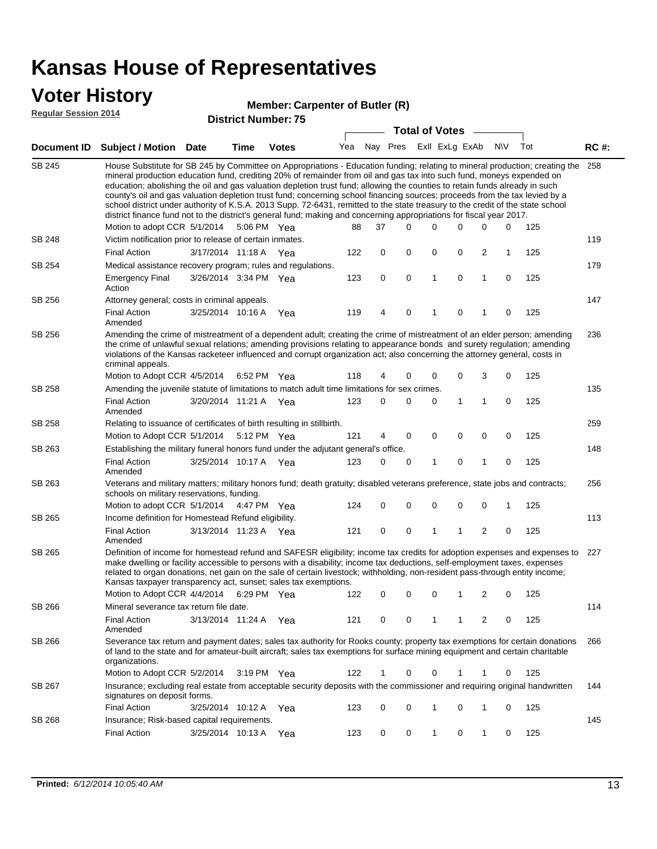### **Voter History**

#### **Member: Carpenter of Butler (R)**

**Regular Session 2014**

|               |                                                                                                                                                                                                                                                                                                                                                                                                                                                                                                                                                                                                                                                                                                                                                                                                                   |                       |             | ט ואטווו <b>ווער ויטוווער</b> |     |    | <b>Total of Votes</b>       |   |             |                |             |     |             |
|---------------|-------------------------------------------------------------------------------------------------------------------------------------------------------------------------------------------------------------------------------------------------------------------------------------------------------------------------------------------------------------------------------------------------------------------------------------------------------------------------------------------------------------------------------------------------------------------------------------------------------------------------------------------------------------------------------------------------------------------------------------------------------------------------------------------------------------------|-----------------------|-------------|-------------------------------|-----|----|-----------------------------|---|-------------|----------------|-------------|-----|-------------|
|               | Document ID Subject / Motion Date                                                                                                                                                                                                                                                                                                                                                                                                                                                                                                                                                                                                                                                                                                                                                                                 |                       | <b>Time</b> | <b>Votes</b>                  |     |    | Yea Nay Pres ExII ExLg ExAb |   |             |                | <b>NV</b>   | Tot | <b>RC#:</b> |
| <b>SB 245</b> | House Substitute for SB 245 by Committee on Appropriations - Education funding; relating to mineral production; creating the 258<br>mineral production education fund, crediting 20% of remainder from oil and gas tax into such fund, moneys expended on<br>education; abolishing the oil and gas valuation depletion trust fund; allowing the counties to retain funds already in such<br>county's oil and gas valuation depletion trust fund; concerning school financing sources; proceeds from the tax levied by a<br>school district under authority of K.S.A. 2013 Supp. 72-6431, remitted to the state treasury to the credit of the state school<br>district finance fund not to the district's general fund; making and concerning appropriations for fiscal year 2017.<br>Motion to adopt CCR 5/1/2014 |                       |             | 5:06 PM Yea                   | 88  | 37 | 0                           | 0 | 0           | 0              | 0           | 125 |             |
| <b>SB 248</b> | Victim notification prior to release of certain inmates.                                                                                                                                                                                                                                                                                                                                                                                                                                                                                                                                                                                                                                                                                                                                                          |                       |             |                               |     |    |                             |   |             |                |             |     | 119         |
|               | <b>Final Action</b>                                                                                                                                                                                                                                                                                                                                                                                                                                                                                                                                                                                                                                                                                                                                                                                               | 3/17/2014 11:18 A     |             | Yea                           | 122 | 0  | 0                           | 0 | 0           | 2              | 1           | 125 |             |
| SB 254        | Medical assistance recovery program; rules and regulations.                                                                                                                                                                                                                                                                                                                                                                                                                                                                                                                                                                                                                                                                                                                                                       |                       |             |                               |     |    |                             |   |             |                |             |     | 179         |
|               | <b>Emergency Final</b><br>Action                                                                                                                                                                                                                                                                                                                                                                                                                                                                                                                                                                                                                                                                                                                                                                                  | 3/26/2014 3:34 PM Yea |             |                               | 123 | 0  | 0                           | 1 | 0           | $\mathbf{1}$   | 0           | 125 |             |
| SB 256        | Attorney general; costs in criminal appeals.                                                                                                                                                                                                                                                                                                                                                                                                                                                                                                                                                                                                                                                                                                                                                                      |                       |             |                               |     |    |                             |   |             |                |             |     | 147         |
|               | <b>Final Action</b><br>Amended                                                                                                                                                                                                                                                                                                                                                                                                                                                                                                                                                                                                                                                                                                                                                                                    | 3/25/2014 10:16 A     |             | Yea                           | 119 | 4  | 0                           | 1 | 0           | 1              | $\mathbf 0$ | 125 |             |
| SB 256        | Amending the crime of mistreatment of a dependent adult; creating the crime of mistreatment of an elder person; amending<br>the crime of unlawful sexual relations; amending provisions relating to appearance bonds and surety regulation; amending<br>violations of the Kansas racketeer influenced and corrupt organization act; also concerning the attorney general, costs in<br>criminal appeals.                                                                                                                                                                                                                                                                                                                                                                                                           |                       |             |                               |     |    |                             |   |             |                |             |     | 236         |
|               | Motion to Adopt CCR 4/5/2014                                                                                                                                                                                                                                                                                                                                                                                                                                                                                                                                                                                                                                                                                                                                                                                      |                       |             | 6:52 PM Yea                   | 118 | 4  | 0                           | 0 | 0           | 3              | 0           | 125 |             |
| SB 258        | Amending the juvenile statute of limitations to match adult time limitations for sex crimes.                                                                                                                                                                                                                                                                                                                                                                                                                                                                                                                                                                                                                                                                                                                      |                       |             |                               |     |    |                             |   |             |                |             |     | 135         |
|               | <b>Final Action</b><br>Amended                                                                                                                                                                                                                                                                                                                                                                                                                                                                                                                                                                                                                                                                                                                                                                                    | 3/20/2014 11:21 A Yea |             |                               | 123 | 0  | 0                           | 0 | 1           | 1              | 0           | 125 |             |
| <b>SB 258</b> | Relating to issuance of certificates of birth resulting in stillbirth.                                                                                                                                                                                                                                                                                                                                                                                                                                                                                                                                                                                                                                                                                                                                            |                       |             |                               |     |    |                             |   |             |                |             |     | 259         |
|               | Motion to Adopt CCR 5/1/2014 5:12 PM Yea                                                                                                                                                                                                                                                                                                                                                                                                                                                                                                                                                                                                                                                                                                                                                                          |                       |             |                               | 121 | 4  | 0                           | 0 | 0           | 0              | 0           | 125 |             |
| SB 263        | Establishing the military funeral honors fund under the adjutant general's office.<br><b>Final Action</b>                                                                                                                                                                                                                                                                                                                                                                                                                                                                                                                                                                                                                                                                                                         | 3/25/2014 10:17 A Yea |             |                               | 123 | 0  | 0                           | 1 | 0           | 1              | 0           | 125 | 148         |
| SB 263        | Amended<br>Veterans and military matters; military honors fund; death gratuity; disabled veterans preference, state jobs and contracts;                                                                                                                                                                                                                                                                                                                                                                                                                                                                                                                                                                                                                                                                           |                       |             |                               |     |    |                             |   |             |                |             |     |             |
|               | schools on military reservations, funding.                                                                                                                                                                                                                                                                                                                                                                                                                                                                                                                                                                                                                                                                                                                                                                        |                       |             |                               |     |    |                             |   |             |                |             |     | 256         |
|               | Motion to adopt CCR 5/1/2014 4:47 PM Yea                                                                                                                                                                                                                                                                                                                                                                                                                                                                                                                                                                                                                                                                                                                                                                          |                       |             |                               | 124 | 0  | 0                           | 0 | $\mathbf 0$ | 0              | 1           | 125 |             |
| SB 265        | Income definition for Homestead Refund eligibility.<br><b>Final Action</b>                                                                                                                                                                                                                                                                                                                                                                                                                                                                                                                                                                                                                                                                                                                                        | 3/13/2014 11:23 A Yea |             |                               | 121 | 0  | 0                           | 1 | 1           | $\overline{2}$ | 0           | 125 | 113         |
|               | Amended                                                                                                                                                                                                                                                                                                                                                                                                                                                                                                                                                                                                                                                                                                                                                                                                           |                       |             |                               |     |    |                             |   |             |                |             |     |             |
| SB 265        | Definition of income for homestead refund and SAFESR eligibility; income tax credits for adoption expenses and expenses to<br>make dwelling or facility accessible to persons with a disability; income tax deductions, self-employment taxes, expenses<br>related to organ donations, net gain on the sale of certain livestock; withholding, non-resident pass-through entity income;<br>Kansas taxpayer transparency act, sunset; sales tax exemptions.<br>Motion to Adopt CCR 4/4/2014 6:29 PM Yea                                                                                                                                                                                                                                                                                                            |                       |             |                               | 122 | 0  | 0                           | 0 | 1           | 2              | 0           | 125 | 227         |
| SB 266        | Mineral severance tax return file date.                                                                                                                                                                                                                                                                                                                                                                                                                                                                                                                                                                                                                                                                                                                                                                           |                       |             |                               |     |    |                             |   |             |                |             |     | 114         |
|               | <b>Final Action</b><br>Amended                                                                                                                                                                                                                                                                                                                                                                                                                                                                                                                                                                                                                                                                                                                                                                                    | 3/13/2014 11:24 A     |             | Yea                           | 121 | 0  | 0                           | 1 | 1           | 2              | 0           | 125 |             |
| SB 266        | Severance tax return and payment dates; sales tax authority for Rooks county; property tax exemptions for certain donations<br>of land to the state and for amateur-built aircraft; sales tax exemptions for surface mining equipment and certain charitable<br>organizations.                                                                                                                                                                                                                                                                                                                                                                                                                                                                                                                                    |                       |             |                               |     |    |                             |   |             |                |             |     | 266         |
|               | Motion to Adopt CCR 5/2/2014                                                                                                                                                                                                                                                                                                                                                                                                                                                                                                                                                                                                                                                                                                                                                                                      |                       |             | $3:19 \text{ PM}$ Yea         | 122 | 1  | 0                           | 0 | 1           | 1              | 0           | 125 |             |
| SB 267        | Insurance; excluding real estate from acceptable security deposits with the commissioner and requiring original handwritten<br>signatures on deposit forms.                                                                                                                                                                                                                                                                                                                                                                                                                                                                                                                                                                                                                                                       |                       |             |                               |     |    |                             |   |             |                |             |     | 144         |
|               | <b>Final Action</b>                                                                                                                                                                                                                                                                                                                                                                                                                                                                                                                                                                                                                                                                                                                                                                                               | 3/25/2014 10:12 A Yea |             |                               | 123 | 0  | 0                           | 1 | 0           | 1              | 0           | 125 |             |
| SB 268        | Insurance; Risk-based capital requirements.                                                                                                                                                                                                                                                                                                                                                                                                                                                                                                                                                                                                                                                                                                                                                                       |                       |             |                               |     |    |                             |   |             |                |             |     | 145         |
|               | <b>Final Action</b>                                                                                                                                                                                                                                                                                                                                                                                                                                                                                                                                                                                                                                                                                                                                                                                               | 3/25/2014 10:13 A     |             | Yea                           | 123 | 0  | 0                           | 1 | 0           | 1              | 0           | 125 |             |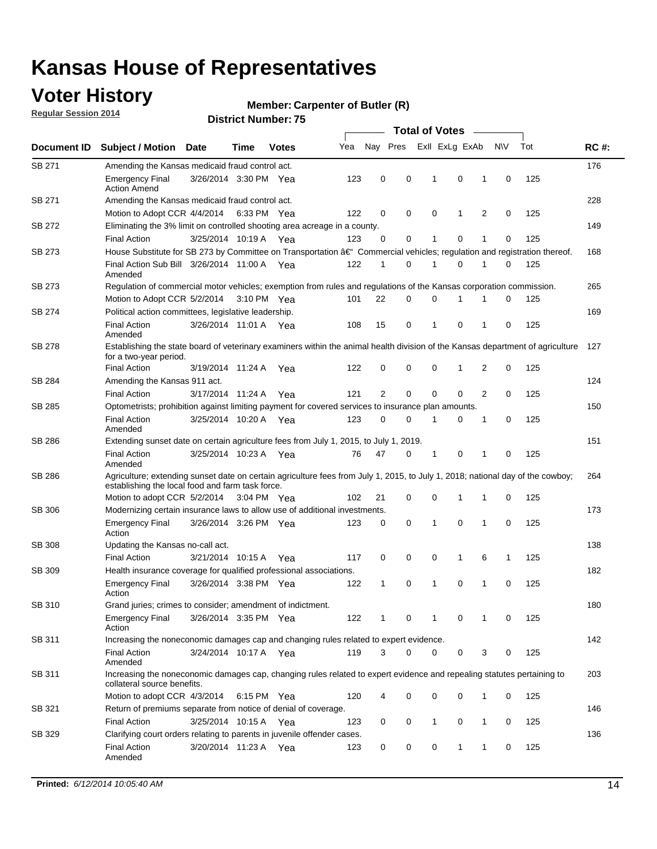### **Voter History**

**Regular Session 2014**

#### **Member: Carpenter of Butler (R)**

| Nay Pres<br>Exll ExLg ExAb<br>N\V<br>Tot<br>Yea<br>Document ID<br><b>Subject / Motion Date</b><br><b>Votes</b><br>Time<br>SB 271<br>Amending the Kansas medicaid fraud control act.<br>0<br>0<br>0<br>125<br><b>Emergency Final</b><br>3/26/2014 3:30 PM Yea<br>123<br>-1<br>1<br>0<br><b>Action Amend</b><br>SB 271<br>Amending the Kansas medicaid fraud control act.<br>125<br>Motion to Adopt CCR 4/4/2014 6:33 PM Yea<br>122<br>0<br>0<br>0<br>1<br>2<br>0<br>SB 272<br>Eliminating the 3% limit on controlled shooting area acreage in a county.<br>125<br>3/25/2014 10:19 A Yea<br>123<br>0<br>0<br>1<br>0<br>1<br>0<br><b>Final Action</b><br>House Substitute for SB 273 by Committee on Transportation †Commercial vehicles; regulation and registration thereof.<br>SB 273<br>Final Action Sub Bill 3/26/2014 11:00 A Yea<br>122<br>0<br>1<br>0<br>125<br>1<br>1<br>0<br>Amended<br>SB 273<br>Regulation of commercial motor vehicles; exemption from rules and regulations of the Kansas corporation commission.<br>22<br>0<br>0<br>125<br>Motion to Adopt CCR 5/2/2014 3:10 PM Yea<br>101<br>1<br>1<br>0<br>SB 274<br>Political action committees, legislative leadership. |             |
|-----------------------------------------------------------------------------------------------------------------------------------------------------------------------------------------------------------------------------------------------------------------------------------------------------------------------------------------------------------------------------------------------------------------------------------------------------------------------------------------------------------------------------------------------------------------------------------------------------------------------------------------------------------------------------------------------------------------------------------------------------------------------------------------------------------------------------------------------------------------------------------------------------------------------------------------------------------------------------------------------------------------------------------------------------------------------------------------------------------------------------------------------------------------------------------------|-------------|
|                                                                                                                                                                                                                                                                                                                                                                                                                                                                                                                                                                                                                                                                                                                                                                                                                                                                                                                                                                                                                                                                                                                                                                                         | <b>RC#:</b> |
|                                                                                                                                                                                                                                                                                                                                                                                                                                                                                                                                                                                                                                                                                                                                                                                                                                                                                                                                                                                                                                                                                                                                                                                         | 176         |
|                                                                                                                                                                                                                                                                                                                                                                                                                                                                                                                                                                                                                                                                                                                                                                                                                                                                                                                                                                                                                                                                                                                                                                                         |             |
|                                                                                                                                                                                                                                                                                                                                                                                                                                                                                                                                                                                                                                                                                                                                                                                                                                                                                                                                                                                                                                                                                                                                                                                         | 228         |
|                                                                                                                                                                                                                                                                                                                                                                                                                                                                                                                                                                                                                                                                                                                                                                                                                                                                                                                                                                                                                                                                                                                                                                                         |             |
|                                                                                                                                                                                                                                                                                                                                                                                                                                                                                                                                                                                                                                                                                                                                                                                                                                                                                                                                                                                                                                                                                                                                                                                         | 149         |
|                                                                                                                                                                                                                                                                                                                                                                                                                                                                                                                                                                                                                                                                                                                                                                                                                                                                                                                                                                                                                                                                                                                                                                                         |             |
|                                                                                                                                                                                                                                                                                                                                                                                                                                                                                                                                                                                                                                                                                                                                                                                                                                                                                                                                                                                                                                                                                                                                                                                         | 168         |
|                                                                                                                                                                                                                                                                                                                                                                                                                                                                                                                                                                                                                                                                                                                                                                                                                                                                                                                                                                                                                                                                                                                                                                                         |             |
|                                                                                                                                                                                                                                                                                                                                                                                                                                                                                                                                                                                                                                                                                                                                                                                                                                                                                                                                                                                                                                                                                                                                                                                         | 265         |
|                                                                                                                                                                                                                                                                                                                                                                                                                                                                                                                                                                                                                                                                                                                                                                                                                                                                                                                                                                                                                                                                                                                                                                                         |             |
|                                                                                                                                                                                                                                                                                                                                                                                                                                                                                                                                                                                                                                                                                                                                                                                                                                                                                                                                                                                                                                                                                                                                                                                         | 169         |
| $\mathbf 0$<br>15<br>0<br>$\mathbf{1}$<br>0<br>125<br><b>Final Action</b><br>3/26/2014 11:01 A Yea<br>108<br>1<br>Amended                                                                                                                                                                                                                                                                                                                                                                                                                                                                                                                                                                                                                                                                                                                                                                                                                                                                                                                                                                                                                                                               |             |
| <b>SB 278</b><br>Establishing the state board of veterinary examiners within the animal health division of the Kansas department of agriculture<br>for a two-year period.                                                                                                                                                                                                                                                                                                                                                                                                                                                                                                                                                                                                                                                                                                                                                                                                                                                                                                                                                                                                               | 127         |
| <b>Final Action</b><br>125<br>3/19/2014 11:24 A<br>122<br>0<br>0<br>0<br>1<br>2<br>0<br>Yea                                                                                                                                                                                                                                                                                                                                                                                                                                                                                                                                                                                                                                                                                                                                                                                                                                                                                                                                                                                                                                                                                             |             |
| SB 284<br>Amending the Kansas 911 act.                                                                                                                                                                                                                                                                                                                                                                                                                                                                                                                                                                                                                                                                                                                                                                                                                                                                                                                                                                                                                                                                                                                                                  | 124         |
| 2<br>$\mathbf 0$<br>$\mathbf 0$<br>$\mathbf 0$<br>2<br>125<br>3/17/2014 11:24 A<br>121<br>0<br><b>Final Action</b><br>Yea                                                                                                                                                                                                                                                                                                                                                                                                                                                                                                                                                                                                                                                                                                                                                                                                                                                                                                                                                                                                                                                               |             |
| SB 285<br>Optometrists; prohibition against limiting payment for covered services to insurance plan amounts.                                                                                                                                                                                                                                                                                                                                                                                                                                                                                                                                                                                                                                                                                                                                                                                                                                                                                                                                                                                                                                                                            | 150         |
| 125<br>3/25/2014 10:20 A Yea<br>0<br>0<br>$\mathbf 0$<br><b>Final Action</b><br>123<br>$\mathbf{1}$<br>0<br>1<br>Amended                                                                                                                                                                                                                                                                                                                                                                                                                                                                                                                                                                                                                                                                                                                                                                                                                                                                                                                                                                                                                                                                |             |
| SB 286<br>Extending sunset date on certain agriculture fees from July 1, 2015, to July 1, 2019.                                                                                                                                                                                                                                                                                                                                                                                                                                                                                                                                                                                                                                                                                                                                                                                                                                                                                                                                                                                                                                                                                         | 151         |
| 3/25/2014 10:23 A Yea<br>47<br>0<br>0<br>125<br><b>Final Action</b><br>76<br>-1<br>1<br>0<br>Amended                                                                                                                                                                                                                                                                                                                                                                                                                                                                                                                                                                                                                                                                                                                                                                                                                                                                                                                                                                                                                                                                                    |             |
| SB 286<br>Agriculture; extending sunset date on certain agriculture fees from July 1, 2015, to July 1, 2018; national day of the cowboy;<br>establishing the local food and farm task force.                                                                                                                                                                                                                                                                                                                                                                                                                                                                                                                                                                                                                                                                                                                                                                                                                                                                                                                                                                                            | 264         |
| Motion to adopt CCR 5/2/2014 3:04 PM Yea<br>102<br>21<br>0<br>0<br>125<br>1<br>1<br>0                                                                                                                                                                                                                                                                                                                                                                                                                                                                                                                                                                                                                                                                                                                                                                                                                                                                                                                                                                                                                                                                                                   |             |
| <b>SB 306</b><br>Modernizing certain insurance laws to allow use of additional investments.                                                                                                                                                                                                                                                                                                                                                                                                                                                                                                                                                                                                                                                                                                                                                                                                                                                                                                                                                                                                                                                                                             | 173         |
| 0<br>1<br>0<br>1<br>0<br>125<br><b>Emergency Final</b><br>3/26/2014 3:26 PM Yea<br>123<br>0<br>Action                                                                                                                                                                                                                                                                                                                                                                                                                                                                                                                                                                                                                                                                                                                                                                                                                                                                                                                                                                                                                                                                                   |             |
| <b>SB 308</b><br>Updating the Kansas no-call act.                                                                                                                                                                                                                                                                                                                                                                                                                                                                                                                                                                                                                                                                                                                                                                                                                                                                                                                                                                                                                                                                                                                                       | 138         |
| 125<br>3/21/2014 10:15 A<br>0<br>0<br>0<br>$\mathbf{1}$<br>6<br><b>Final Action</b><br>117<br>1<br>Yea                                                                                                                                                                                                                                                                                                                                                                                                                                                                                                                                                                                                                                                                                                                                                                                                                                                                                                                                                                                                                                                                                  |             |
| SB 309<br>Health insurance coverage for qualified professional associations.                                                                                                                                                                                                                                                                                                                                                                                                                                                                                                                                                                                                                                                                                                                                                                                                                                                                                                                                                                                                                                                                                                            | 182         |
| 125<br>3/26/2014 3:38 PM Yea<br>$\mathbf{1}$<br>0<br>1<br>0<br>1<br>$\mathbf 0$<br><b>Emergency Final</b><br>122<br>Action                                                                                                                                                                                                                                                                                                                                                                                                                                                                                                                                                                                                                                                                                                                                                                                                                                                                                                                                                                                                                                                              |             |
| SB 310<br>Grand juries; crimes to consider; amendment of indictment.                                                                                                                                                                                                                                                                                                                                                                                                                                                                                                                                                                                                                                                                                                                                                                                                                                                                                                                                                                                                                                                                                                                    | 180         |
| 125<br><b>Emergency Final</b><br>3/26/2014 3:35 PM Yea<br>122<br>0<br>0<br>0<br>1<br>1<br>1<br>Action                                                                                                                                                                                                                                                                                                                                                                                                                                                                                                                                                                                                                                                                                                                                                                                                                                                                                                                                                                                                                                                                                   |             |
| SB 311<br>Increasing the noneconomic damages cap and changing rules related to expert evidence.                                                                                                                                                                                                                                                                                                                                                                                                                                                                                                                                                                                                                                                                                                                                                                                                                                                                                                                                                                                                                                                                                         | 142         |
| 3/24/2014 10:17 A Yea<br>119<br>3<br>$\Omega$<br>0<br>0<br>3<br>125<br><b>Final Action</b><br>0<br>Amended                                                                                                                                                                                                                                                                                                                                                                                                                                                                                                                                                                                                                                                                                                                                                                                                                                                                                                                                                                                                                                                                              |             |
| SB 311<br>Increasing the noneconomic damages cap, changing rules related to expert evidence and repealing statutes pertaining to<br>collateral source benefits.                                                                                                                                                                                                                                                                                                                                                                                                                                                                                                                                                                                                                                                                                                                                                                                                                                                                                                                                                                                                                         | 203         |
| 0<br>0<br>125<br>Motion to adopt CCR 4/3/2014 6:15 PM Yea<br>120<br>0<br>1<br>0                                                                                                                                                                                                                                                                                                                                                                                                                                                                                                                                                                                                                                                                                                                                                                                                                                                                                                                                                                                                                                                                                                         |             |
| SB 321<br>Return of premiums separate from notice of denial of coverage.                                                                                                                                                                                                                                                                                                                                                                                                                                                                                                                                                                                                                                                                                                                                                                                                                                                                                                                                                                                                                                                                                                                | 146         |
| 3/25/2014 10:15 A Yea<br>0<br>$\mathbf{1}$<br>0<br>125<br><b>Final Action</b><br>123<br>0<br>1<br>0                                                                                                                                                                                                                                                                                                                                                                                                                                                                                                                                                                                                                                                                                                                                                                                                                                                                                                                                                                                                                                                                                     |             |
| SB 329<br>Clarifying court orders relating to parents in juvenile offender cases.<br>3/20/2014 11:23 A Yea<br>0<br>125<br><b>Final Action</b><br>123<br>0<br>0<br>1<br>1<br>0<br>Amended                                                                                                                                                                                                                                                                                                                                                                                                                                                                                                                                                                                                                                                                                                                                                                                                                                                                                                                                                                                                | 136         |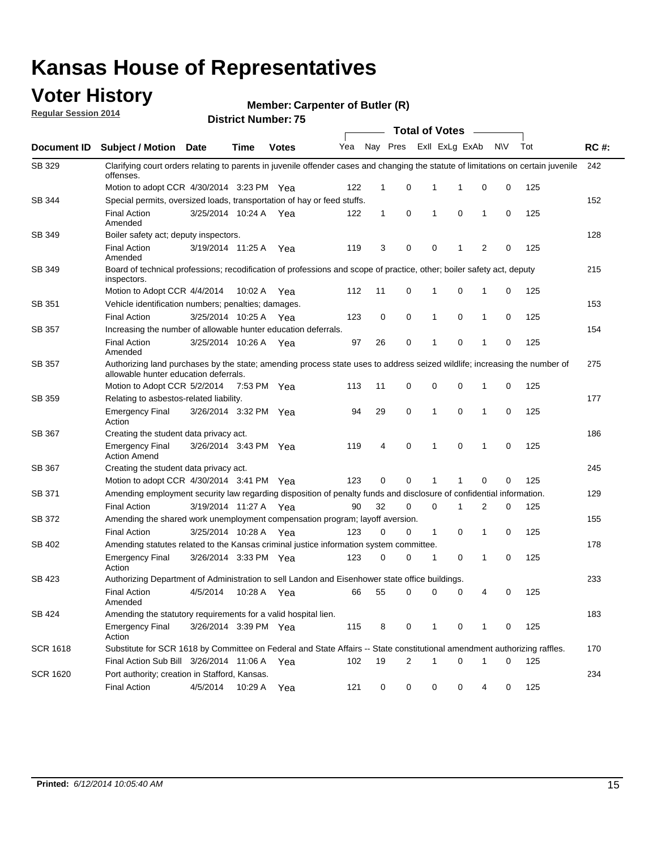### **Voter History**

**Regular Session 2014**

#### **Member: Carpenter of Butler (R)**

|                 |                                                                                                                                                                                   |                       |             |              |     |              |          |   | <b>Total of Votes</b> |                             |           |     |             |
|-----------------|-----------------------------------------------------------------------------------------------------------------------------------------------------------------------------------|-----------------------|-------------|--------------|-----|--------------|----------|---|-----------------------|-----------------------------|-----------|-----|-------------|
| Document ID     | Subject / Motion Date                                                                                                                                                             |                       | <b>Time</b> | <b>Votes</b> | Yea |              | Nay Pres |   | Exll ExLg ExAb        |                             | <b>NV</b> | Tot | <b>RC#:</b> |
| SB 329          | Clarifying court orders relating to parents in juvenile offender cases and changing the statute of limitations on certain juvenile<br>offenses.                                   |                       |             |              |     |              |          |   |                       |                             |           |     | 242         |
|                 | Motion to adopt CCR 4/30/2014 3:23 PM Yea                                                                                                                                         |                       |             |              | 122 | $\mathbf 1$  | 0        |   | 1<br>-1               | 0                           | 0         | 125 |             |
| SB 344          | Special permits, oversized loads, transportation of hay or feed stuffs.                                                                                                           |                       |             |              |     |              |          |   |                       |                             |           |     | 152         |
|                 | <b>Final Action</b><br>Amended                                                                                                                                                    | 3/25/2014 10:24 A     |             | Yea          | 122 | $\mathbf{1}$ | 0        |   | 1                     | 0<br>1                      | 0         | 125 |             |
| SB 349          | Boiler safety act; deputy inspectors.                                                                                                                                             |                       |             |              |     |              |          |   |                       |                             |           |     | 128         |
|                 | <b>Final Action</b><br>Amended                                                                                                                                                    | 3/19/2014 11:25 A     |             | Yea          | 119 | 3            | 0        |   | 0<br>1                | $\overline{2}$              | 0         | 125 |             |
| SB 349          | Board of technical professions; recodification of professions and scope of practice, other; boiler safety act, deputy<br>inspectors.                                              |                       |             |              |     |              |          |   |                       |                             |           |     | 215         |
|                 | Motion to Adopt CCR 4/4/2014                                                                                                                                                      |                       | 10:02 A     | Yea          | 112 | 11           | 0        |   | 1<br>0                | 1                           | 0         | 125 |             |
| SB 351          | Vehicle identification numbers; penalties; damages.                                                                                                                               |                       |             |              |     |              |          |   |                       |                             |           |     | 153         |
|                 | <b>Final Action</b>                                                                                                                                                               | 3/25/2014 10:25 A     |             | Yea          | 123 | 0            | 0        |   | 1<br>0                | 1                           | 0         | 125 |             |
| <b>SB 357</b>   | Increasing the number of allowable hunter education deferrals.                                                                                                                    |                       |             |              |     |              |          |   |                       |                             |           |     | 154         |
|                 | <b>Final Action</b><br>Amended                                                                                                                                                    | 3/25/2014 10:26 A     |             | Yea          | 97  | 26           | 0        | 1 | 0                     | 1                           | 0         | 125 |             |
| <b>SB 357</b>   | Authorizing land purchases by the state; amending process state uses to address seized wildlife; increasing the number of<br>allowable hunter education deferrals.<br>$\mathbf 0$ |                       |             |              |     |              |          |   |                       |                             |           |     | 275         |
|                 | Motion to Adopt CCR 5/2/2014                                                                                                                                                      |                       | 7:53 PM Yea |              | 113 | 11           | 0        |   | 0                     | 1                           | 0         | 125 |             |
| SB 359          | Relating to asbestos-related liability.                                                                                                                                           |                       |             |              |     |              |          |   |                       |                             | 177       |     |             |
|                 | <b>Emergency Final</b><br>Action                                                                                                                                                  | 3/26/2014 3:32 PM Yea |             |              | 94  | 29           | 0        |   | 1                     | $\mathbf 0$<br>$\mathbf{1}$ | 0         | 125 |             |
| SB 367          | Creating the student data privacy act.                                                                                                                                            |                       |             |              |     |              |          |   |                       |                             |           |     | 186         |
|                 | <b>Emergency Final</b><br><b>Action Amend</b>                                                                                                                                     | 3/26/2014 3:43 PM Yea |             |              | 119 | 4            | 0        |   | 1                     | 0<br>1                      | 0         | 125 |             |
| SB 367          | Creating the student data privacy act.                                                                                                                                            |                       |             |              |     |              |          |   |                       |                             |           |     | 245         |
|                 | Motion to adopt CCR 4/30/2014 3:41 PM Yea                                                                                                                                         |                       |             |              | 123 | 0            | $\Omega$ |   | 1                     | 0                           | 0         | 125 |             |
| SB 371          | Amending employment security law regarding disposition of penalty funds and disclosure of confidential information.                                                               |                       |             |              |     |              |          |   |                       |                             |           |     | 129         |
|                 | <b>Final Action</b>                                                                                                                                                               | 3/19/2014 11:27 A     |             | Yea          | 90  | 32           | 0        |   | $\mathbf 0$<br>1      | 2                           | 0         | 125 |             |
| SB 372          | Amending the shared work unemployment compensation program; layoff aversion.                                                                                                      |                       |             |              |     |              |          |   |                       |                             |           |     | 155         |
|                 | <b>Final Action</b>                                                                                                                                                               | 3/25/2014 10:28 A     |             | Yea          | 123 | 0            | 0        |   | $\mathbf{1}$          | 0<br>1                      | 0         | 125 |             |
| SB 402          | Amending statutes related to the Kansas criminal justice information system committee.                                                                                            |                       |             |              |     |              |          |   |                       |                             |           |     | 178         |
|                 | <b>Emergency Final</b><br>Action                                                                                                                                                  | 3/26/2014 3:33 PM Yea |             |              | 123 | 0            | 0        | 1 |                       | 0<br>1                      | 0         | 125 |             |
| SB 423          | Authorizing Department of Administration to sell Landon and Eisenhower state office buildings.                                                                                    |                       |             |              |     |              |          |   |                       |                             |           |     | 233         |
|                 | <b>Final Action</b><br>Amended                                                                                                                                                    | 4/5/2014              | 10:28 A Yea |              | 66  | 55           | 0        |   | 0                     | 0<br>4                      | 0         | 125 |             |
| SB 424          | Amending the statutory requirements for a valid hospital lien.                                                                                                                    |                       |             |              |     |              |          |   |                       |                             |           |     | 183         |
|                 | <b>Emergency Final</b><br>Action                                                                                                                                                  | 3/26/2014 3:39 PM Yea |             |              | 115 | 8            | 0        |   | 1                     | 0<br>1                      | 0         | 125 |             |
| <b>SCR 1618</b> | Substitute for SCR 1618 by Committee on Federal and State Affairs -- State constitutional amendment authorizing raffles.                                                          |                       |             |              |     |              |          |   |                       |                             |           |     | 170         |
|                 | Final Action Sub Bill 3/26/2014 11:06 A Yea                                                                                                                                       |                       |             |              | 102 | 19           | 2        |   | 1                     | 0<br>1                      | 0         | 125 |             |
| <b>SCR 1620</b> | Port authority; creation in Stafford, Kansas.                                                                                                                                     |                       |             |              |     |              |          |   |                       |                             |           |     | 234         |
|                 | <b>Final Action</b>                                                                                                                                                               | 4/5/2014              | 10:29 A Yea |              | 121 | 0            | 0        |   | 0                     | 0<br>4                      | 0         | 125 |             |